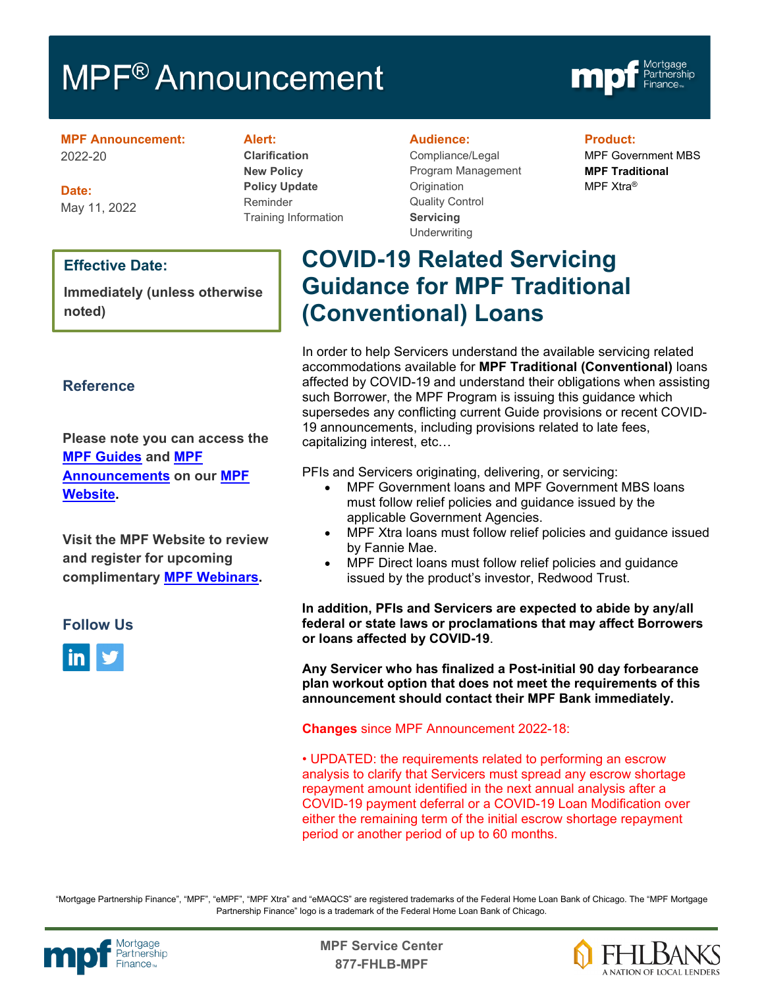# MPF<sup>®</sup> Announcement



**MPF Announcement:** 2022-20

**Date:** May 11, 2022

# **Effective Date:**

**Immediately (unless otherwise noted)**

# **Reference**

**Please note you can access the [MPF Guides](https://fhlbmpf.com/mpf-guides/guides) and [MPF](https://fhlbmpf.com/mpf-guides/announcements)  [Announcements](https://fhlbmpf.com/mpf-guides/announcements) on our [MPF](https://fhlbmpf.com/)  [Website.](https://fhlbmpf.com/)** 

**Visit the MPF Website to review and register for upcoming complimentary [MPF Webinars.](https://www.fhlbmpf.com/education/upcoming-webinars)**

# **Follow Us**



#### **Alert:**

**Clarification New Policy Policy Update** Reminder Training Information

#### **Audience:**

Compliance/Legal Program Management **Origination** Quality Control **Servicing Underwriting** 

#### **Product:**

MPF Government MBS **MPF Traditional** MPF Xtra®

# **COVID-19 Related Servicing Guidance for MPF Traditional (Conventional) Loans**

In order to help Servicers understand the available servicing related accommodations available for **MPF Traditional (Conventional)** loans affected by COVID-19 and understand their obligations when assisting such Borrower, the MPF Program is issuing this guidance which supersedes any conflicting current Guide provisions or recent COVID-19 announcements, including provisions related to late fees, capitalizing interest, etc…

PFIs and Servicers originating, delivering, or servicing:

- MPF Government loans and MPF Government MBS loans must follow relief policies and guidance issued by the applicable Government Agencies.
- MPF Xtra loans must follow relief policies and guidance issued by Fannie Mae.
- MPF Direct loans must follow relief policies and guidance issued by the product's investor, Redwood Trust.

**In addition, PFIs and Servicers are expected to abide by any/all federal or state laws or proclamations that may affect Borrowers or loans affected by COVID-19**.

**Any Servicer who has finalized a Post-initial 90 day forbearance plan workout option that does not meet the requirements of this announcement should contact their MPF Bank immediately.**

**Changes** since MPF Announcement 2022-18:

• UPDATED: the requirements related to performing an escrow analysis to clarify that Servicers must spread any escrow shortage repayment amount identified in the next annual analysis after a COVID-19 payment deferral or a COVID-19 Loan Modification over either the remaining term of the initial escrow shortage repayment period or another period of up to 60 months.

"Mortgage Partnership Finance", "MPF", "eMPF", "MPF Xtra" and "eMAQCS" are registered trademarks of the Federal Home Loan Bank of Chicago. The "MPF Mortgage Partnership Finance" logo is a trademark of the Federal Home Loan Bank of Chicago.



Mortgage **Canadian Communist Communist Center**<br>Partnership **877-FHLB-MPF**

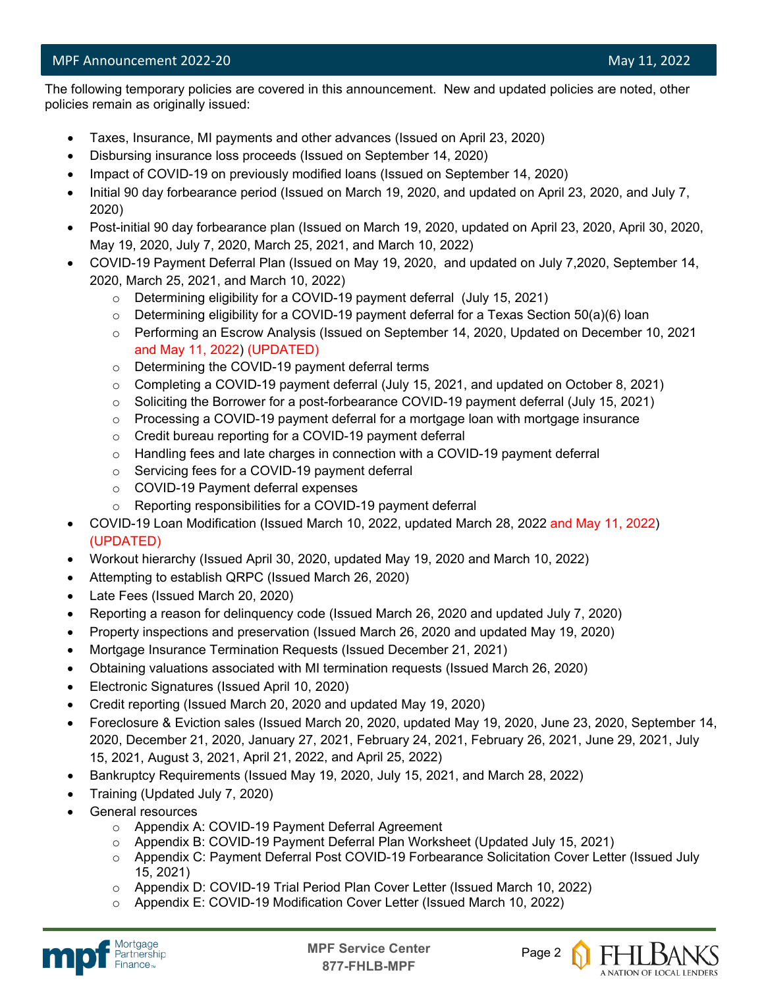l The following temporary policies are covered in this announcement. New and updated policies are noted, other policies remain as originally issued:

- Taxes, Insurance, MI payments and other advances (Issued on April 23, 2020)
- Disbursing insurance loss proceeds (Issued on September 14, 2020)
- Impact of COVID-19 on previously modified loans (Issued on September 14, 2020)
- Initial 90 day forbearance period (Issued on March 19, 2020, and updated on April 23, 2020, and July 7, 2020)
- Post-initial 90 day forbearance plan (Issued on March 19, 2020, updated on April 23, 2020, April 30, 2020, May 19, 2020, July 7, 2020, March 25, 2021, and March 10, 2022)
- COVID-19 Payment Deferral Plan (Issued on May 19, 2020, and updated on July 7,2020, September 14, 2020, March 25, 2021, and March 10, 2022)
	- o Determining eligibility for a COVID-19 payment deferral (July 15, 2021)
	- $\circ$  Determining eligibility for a COVID-19 payment deferral for a Texas Section 50(a)(6) loan
	- o Performing an Escrow Analysis (Issued on September 14, 2020, Updated on December 10, 2021 and May 11, 2022) (UPDATED)
	- o Determining the COVID-19 payment deferral terms
	- $\circ$  Completing a COVID-19 payment deferral (July 15, 2021, and updated on October 8, 2021)
	- $\circ$  Soliciting the Borrower for a post-forbearance COVID-19 payment deferral (July 15, 2021)
	- $\circ$  Processing a COVID-19 payment deferral for a mortgage loan with mortgage insurance
	- o Credit bureau reporting for a COVID-19 payment deferral
	- $\circ$  Handling fees and late charges in connection with a COVID-19 payment deferral
	- o Servicing fees for a COVID-19 payment deferral
	- o COVID-19 Payment deferral expenses
	- o Reporting responsibilities for a COVID-19 payment deferral
- COVID-19 Loan Modification (Issued March 10, 2022, updated March 28, 2022 and May 11, 2022) (UPDATED)
- Workout hierarchy (Issued April 30, 2020, updated May 19, 2020 and March 10, 2022)
- Attempting to establish QRPC (Issued March 26, 2020)
- Late Fees (Issued March 20, 2020)
- Reporting a reason for delinquency code (Issued March 26, 2020 and updated July 7, 2020)
- Property inspections and preservation (Issued March 26, 2020 and updated May 19, 2020)
- Mortgage Insurance Termination Requests (Issued December 21, 2021)
- Obtaining valuations associated with MI termination requests (Issued March 26, 2020)
- Electronic Signatures (Issued April 10, 2020)
- Credit reporting (Issued March 20, 2020 and updated May 19, 2020)
- Foreclosure & Eviction sales (Issued March 20, 2020, updated May 19, 2020, June 23, 2020, September 14, 2020, December 21, 2020, January 27, 2021, February 24, 2021, February 26, 2021, June 29, 2021, July 15, 2021, August 3, 2021, April 21, 2022, and April 25, 2022)
- Bankruptcy Requirements (Issued May 19, 2020, July 15, 2021, and March 28, 2022)
- Training (Updated July 7, 2020)
- General resources
	- o Appendix A: COVID-19 Payment Deferral Agreement
	- o Appendix B: COVID-19 Payment Deferral Plan Worksheet (Updated July 15, 2021)
	- o Appendix C: Payment Deferral Post COVID-19 Forbearance Solicitation Cover Letter (Issued July 15, 2021)
	- o Appendix D: COVID-19 Trial Period Plan Cover Letter (Issued March 10, 2022)
	- Appendix E: COVID-19 Modification Cover Letter (Issued March 10, 2022)



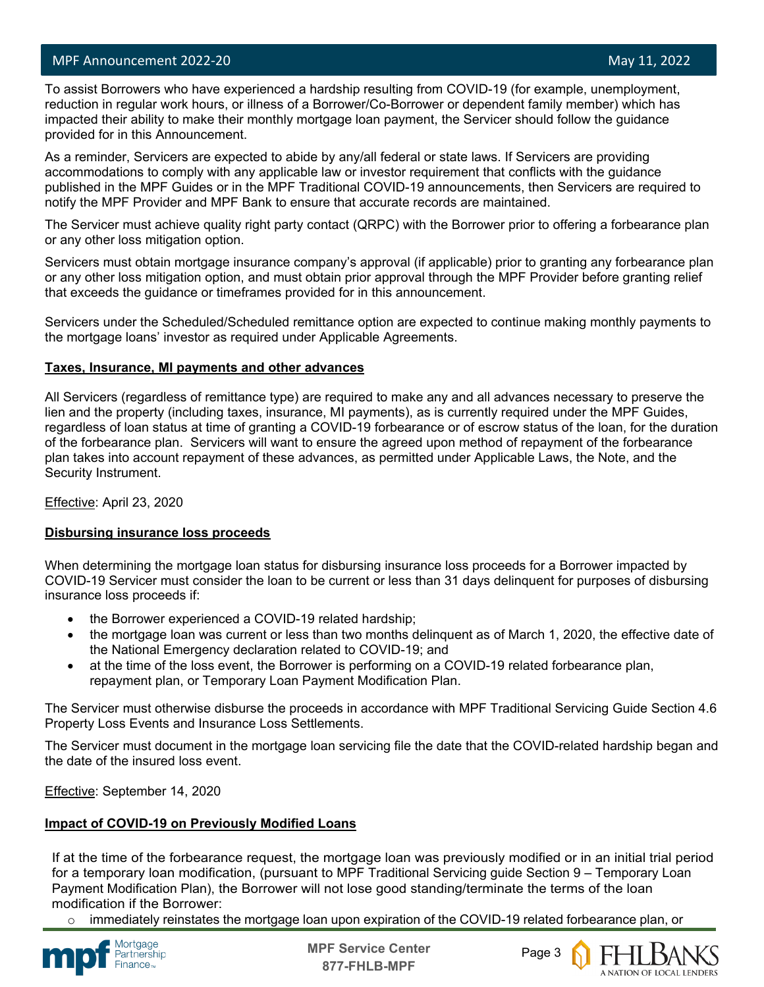l

 To assist Borrowers who have experienced a hardship resulting from COVID-19 (for example, unemployment, reduction in regular work hours, or illness of a Borrower/Co-Borrower or dependent family member) which has impacted their ability to make their monthly mortgage loan payment, the Servicer should follow the guidance provided for in this Announcement.

As a reminder, Servicers are expected to abide by any/all federal or state laws. If Servicers are providing accommodations to comply with any applicable law or investor requirement that conflicts with the guidance published in the MPF Guides or in the MPF Traditional COVID-19 announcements, then Servicers are required to notify the MPF Provider and MPF Bank to ensure that accurate records are maintained.

The Servicer must achieve quality right party contact (QRPC) with the Borrower prior to offering a forbearance plan or any other loss mitigation option.

Servicers must obtain mortgage insurance company's approval (if applicable) prior to granting any forbearance plan or any other loss mitigation option, and must obtain prior approval through the MPF Provider before granting relief that exceeds the guidance or timeframes provided for in this announcement.

Servicers under the Scheduled/Scheduled remittance option are expected to continue making monthly payments to the mortgage loans' investor as required under Applicable Agreements.

#### **Taxes, Insurance, MI payments and other advances**

All Servicers (regardless of remittance type) are required to make any and all advances necessary to preserve the lien and the property (including taxes, insurance, MI payments), as is currently required under the MPF Guides, regardless of loan status at time of granting a COVID-19 forbearance or of escrow status of the loan, for the duration of the forbearance plan. Servicers will want to ensure the agreed upon method of repayment of the forbearance plan takes into account repayment of these advances, as permitted under Applicable Laws, the Note, and the Security Instrument.

Effective: April 23, 2020

#### **Disbursing insurance loss proceeds**

When determining the mortgage loan status for disbursing insurance loss proceeds for a Borrower impacted by COVID-19 Servicer must consider the loan to be current or less than 31 days delinquent for purposes of disbursing insurance loss proceeds if:

- the Borrower experienced a COVID-19 related hardship;
- the mortgage loan was current or less than two months delinquent as of March 1, 2020, the effective date of the National Emergency declaration related to COVID-19; and
- at the time of the loss event, the Borrower is performing on a COVID-19 related forbearance plan, repayment plan, or Temporary Loan Payment Modification Plan.

The Servicer must otherwise disburse the proceeds in accordance with MPF Traditional Servicing Guide Section 4.6 Property Loss Events and Insurance Loss Settlements.

The Servicer must document in the mortgage loan servicing file the date that the COVID-related hardship began and the date of the insured loss event.

Effective: September 14, 2020

#### **Impact of COVID-19 on Previously Modified Loans**

If at the time of the forbearance request, the mortgage loan was previously modified or in an initial trial period for a temporary loan modification, (pursuant to MPF Traditional Servicing guide Section 9 – Temporary Loan Payment Modification Plan), the Borrower will not lose good standing/terminate the terms of the loan modification if the Borrower:

immediately reinstates the mortgage loan upon expiration of the COVID-19 related forbearance plan, or



**MPF Service Center** Page 3 **877-FHLB-MPF**



A NATION OF LOCAL LENDERS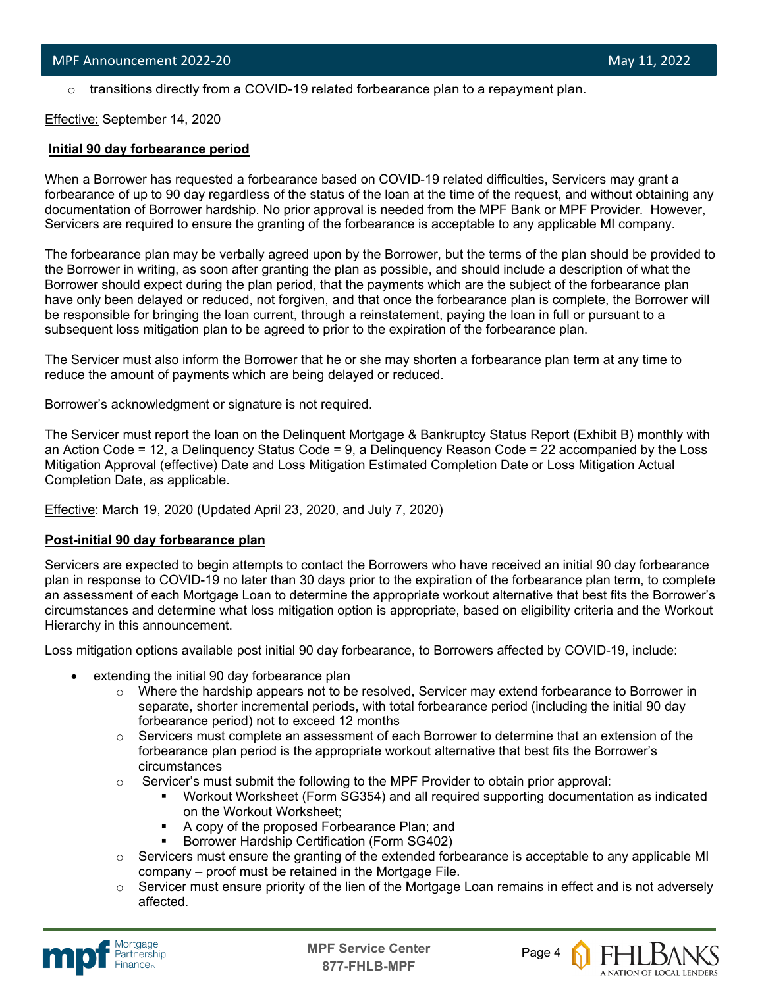$\circ$  transitions directly from a COVID-19 related forbearance plan to a repayment plan.

Effective: September 14, 2020

#### **Initial 90 day forbearance period**

When a Borrower has requested a forbearance based on COVID-19 related difficulties, Servicers may grant a forbearance of up to 90 day regardless of the status of the loan at the time of the request, and without obtaining any documentation of Borrower hardship. No prior approval is needed from the MPF Bank or MPF Provider. However, Servicers are required to ensure the granting of the forbearance is acceptable to any applicable MI company.

The forbearance plan may be verbally agreed upon by the Borrower, but the terms of the plan should be provided to the Borrower in writing, as soon after granting the plan as possible, and should include a description of what the Borrower should expect during the plan period, that the payments which are the subject of the forbearance plan have only been delayed or reduced, not forgiven, and that once the forbearance plan is complete, the Borrower will be responsible for bringing the loan current, through a reinstatement, paying the loan in full or pursuant to a subsequent loss mitigation plan to be agreed to prior to the expiration of the forbearance plan.

The Servicer must also inform the Borrower that he or she may shorten a forbearance plan term at any time to reduce the amount of payments which are being delayed or reduced.

Borrower's acknowledgment or signature is not required.

The Servicer must report the loan on the Delinquent Mortgage & Bankruptcy Status Report (Exhibit B) monthly with an Action Code = 12, a Delinquency Status Code = 9, a Delinquency Reason Code = 22 accompanied by the Loss Mitigation Approval (effective) Date and Loss Mitigation Estimated Completion Date or Loss Mitigation Actual Completion Date, as applicable.

Effective: March 19, 2020 (Updated April 23, 2020, and July 7, 2020)

#### **Post-initial 90 day forbearance plan**

Servicers are expected to begin attempts to contact the Borrowers who have received an initial 90 day forbearance plan in response to COVID-19 no later than 30 days prior to the expiration of the forbearance plan term, to complete an assessment of each Mortgage Loan to determine the appropriate workout alternative that best fits the Borrower's circumstances and determine what loss mitigation option is appropriate, based on eligibility criteria and the Workout Hierarchy in this announcement.

Loss mitigation options available post initial 90 day forbearance, to Borrowers affected by COVID-19, include:

- extending the initial 90 day forbearance plan
	- $\circ$  Where the hardship appears not to be resolved, Servicer may extend forbearance to Borrower in separate, shorter incremental periods, with total forbearance period (including the initial 90 day forbearance period) not to exceed 12 months
	- $\circ$  Servicers must complete an assessment of each Borrower to determine that an extension of the forbearance plan period is the appropriate workout alternative that best fits the Borrower's circumstances
	- $\circ$  Servicer's must submit the following to the MPF Provider to obtain prior approval:
		- Workout Worksheet (Form SG354) and all required supporting documentation as indicated on the Workout Worksheet;
		- A copy of the proposed Forbearance Plan; and
		- Borrower Hardship Certification (Form SG402)
	- o Servicers must ensure the granting of the extended forbearance is acceptable to any applicable MI company – proof must be retained in the Mortgage File.
	- $\circ$  Servicer must ensure priority of the lien of the Mortgage Loan remains in effect and is not adversely affected.



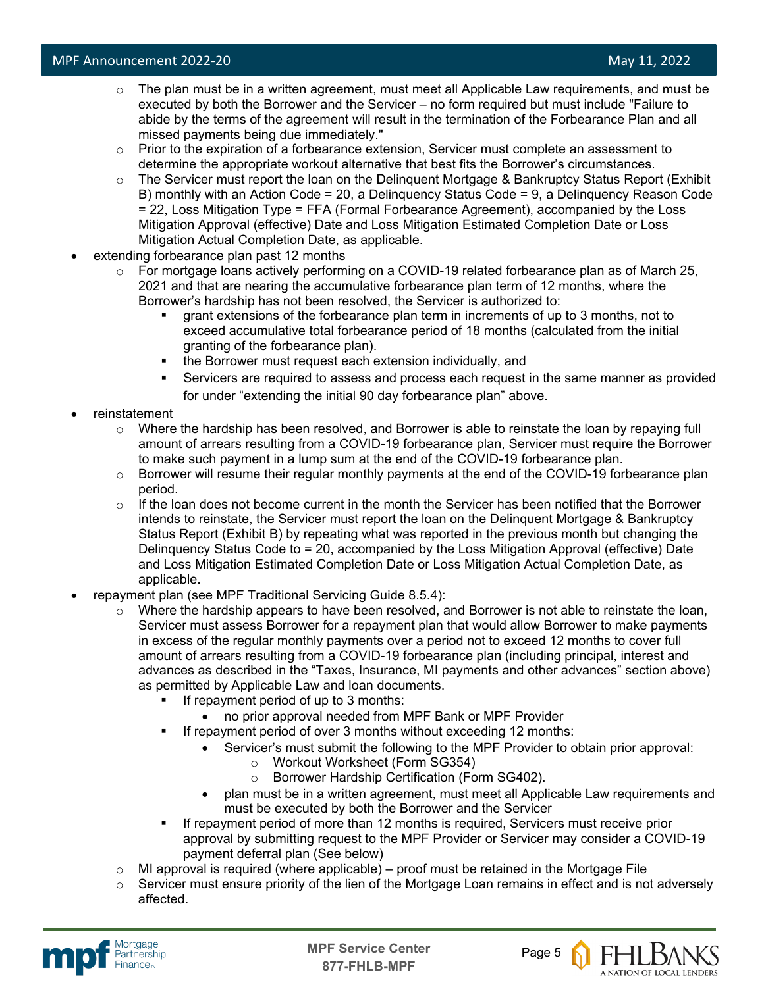- $\circ$  The plan must be in a written agreement, must meet all Applicable Law requirements, and must be executed by both the Borrower and the Servicer – no form required but must include "Failure to abide by the terms of the agreement will result in the termination of the Forbearance Plan and all missed payments being due immediately."
- $\circ$  Prior to the expiration of a forbearance extension, Servicer must complete an assessment to determine the appropriate workout alternative that best fits the Borrower's circumstances.
- $\circ$  The Servicer must report the loan on the Delinguent Mortgage & Bankruptcy Status Report (Exhibit B) monthly with an Action Code = 20, a Delinquency Status Code = 9, a Delinquency Reason Code = 22, Loss Mitigation Type = FFA (Formal Forbearance Agreement), accompanied by the Loss Mitigation Approval (effective) Date and Loss Mitigation Estimated Completion Date or Loss Mitigation Actual Completion Date, as applicable.
- extending forbearance plan past 12 months
	- $\circ$  For mortgage loans actively performing on a COVID-19 related forbearance plan as of March 25, 2021 and that are nearing the accumulative forbearance plan term of 12 months, where the Borrower's hardship has not been resolved, the Servicer is authorized to:
		- grant extensions of the forbearance plan term in increments of up to 3 months, not to exceed accumulative total forbearance period of 18 months (calculated from the initial granting of the forbearance plan).
		- the Borrower must request each extension individually, and
		- Servicers are required to assess and process each request in the same manner as provided for under "extending the initial 90 day forbearance plan" above.
- reinstatement
	- $\circ$  Where the hardship has been resolved, and Borrower is able to reinstate the loan by repaying full amount of arrears resulting from a COVID-19 forbearance plan, Servicer must require the Borrower to make such payment in a lump sum at the end of the COVID-19 forbearance plan.
	- $\circ$  Borrower will resume their regular monthly payments at the end of the COVID-19 forbearance plan period.
	- $\circ$  If the loan does not become current in the month the Servicer has been notified that the Borrower intends to reinstate, the Servicer must report the loan on the Delinquent Mortgage & Bankruptcy Status Report (Exhibit B) by repeating what was reported in the previous month but changing the Delinquency Status Code to = 20, accompanied by the Loss Mitigation Approval (effective) Date and Loss Mitigation Estimated Completion Date or Loss Mitigation Actual Completion Date, as applicable.
- repayment plan (see MPF Traditional Servicing Guide 8.5.4):
	- $\circ$  Where the hardship appears to have been resolved, and Borrower is not able to reinstate the loan, Servicer must assess Borrower for a repayment plan that would allow Borrower to make payments in excess of the regular monthly payments over a period not to exceed 12 months to cover full amount of arrears resulting from a COVID-19 forbearance plan (including principal, interest and advances as described in the "Taxes, Insurance, MI payments and other advances" section above) as permitted by Applicable Law and loan documents.
		- If repayment period of up to 3 months:
			- no prior approval needed from MPF Bank or MPF Provider
		- If repayment period of over 3 months without exceeding 12 months:
			- Servicer's must submit the following to the MPF Provider to obtain prior approval:
				- o Workout Worksheet (Form SG354)
				- o Borrower Hardship Certification (Form SG402).
			- plan must be in a written agreement, must meet all Applicable Law requirements and must be executed by both the Borrower and the Servicer
		- If repayment period of more than 12 months is required, Servicers must receive prior approval by submitting request to the MPF Provider or Servicer may consider a COVID-19 payment deferral plan (See below)
	- $\circ$  MI approval is required (where applicable) proof must be retained in the Mortgage File
	- $\circ$  Servicer must ensure priority of the lien of the Mortgage Loan remains in effect and is not adversely affected.



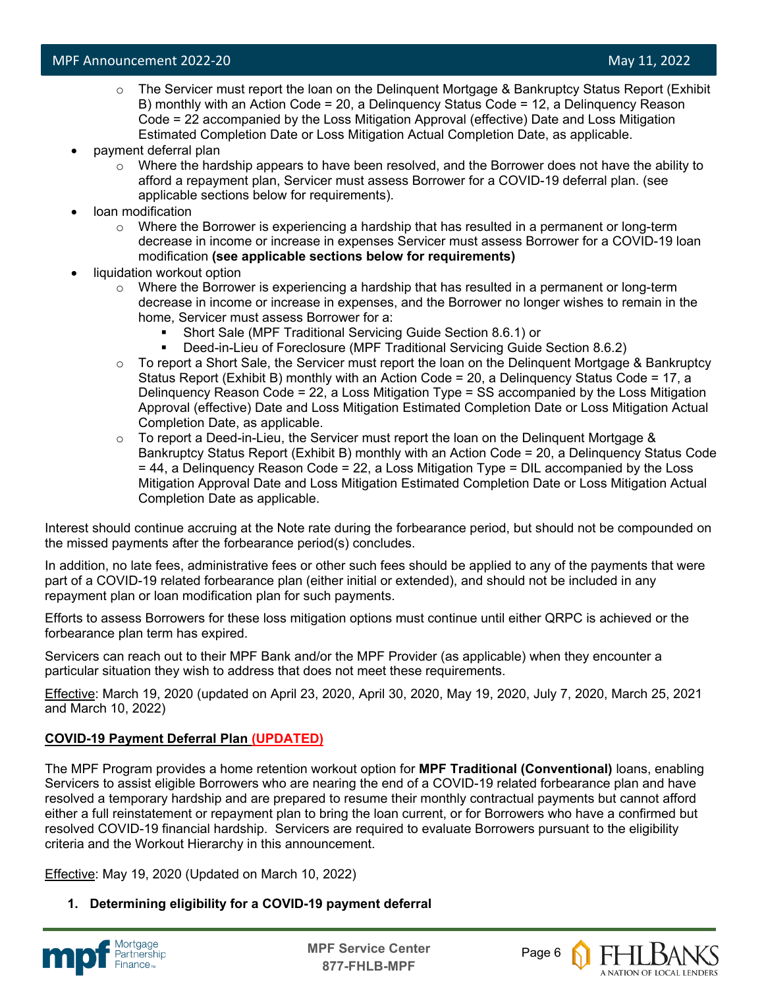#### MPF Announcement 2022-20 **May 11, 2022**

l

- $\circ$  The Servicer must report the loan on the Delinquent Mortgage & Bankruptcy Status Report (Exhibit B) monthly with an Action Code = 20, a Delinquency Status Code = 12, a Delinquency Reason Code = 22 accompanied by the Loss Mitigation Approval (effective) Date and Loss Mitigation Estimated Completion Date or Loss Mitigation Actual Completion Date, as applicable.
- payment deferral plan
	- $\circ$  Where the hardship appears to have been resolved, and the Borrower does not have the ability to afford a repayment plan, Servicer must assess Borrower for a COVID-19 deferral plan. (see applicable sections below for requirements).
- loan modification
	- o Where the Borrower is experiencing a hardship that has resulted in a permanent or long-term decrease in income or increase in expenses Servicer must assess Borrower for a COVID-19 loan modification **(see applicable sections below for requirements)**
- liquidation workout option
	- $\circ$  Where the Borrower is experiencing a hardship that has resulted in a permanent or long-term decrease in income or increase in expenses, and the Borrower no longer wishes to remain in the home, Servicer must assess Borrower for a:
		- Short Sale (MPF Traditional Servicing Guide Section 8.6.1) or
		- Deed-in-Lieu of Foreclosure (MPF Traditional Servicing Guide Section 8.6.2)
	- o To report a Short Sale, the Servicer must report the loan on the Delinquent Mortgage & Bankruptcy Status Report (Exhibit B) monthly with an Action Code = 20, a Delinquency Status Code = 17, a Delinquency Reason Code = 22, a Loss Mitigation Type = SS accompanied by the Loss Mitigation Approval (effective) Date and Loss Mitigation Estimated Completion Date or Loss Mitigation Actual Completion Date, as applicable.
	- $\circ$  To report a Deed-in-Lieu, the Servicer must report the loan on the Delinquent Mortgage & Bankruptcy Status Report (Exhibit B) monthly with an Action Code = 20, a Delinquency Status Code = 44, a Delinquency Reason Code = 22, a Loss Mitigation Type = DIL accompanied by the Loss Mitigation Approval Date and Loss Mitigation Estimated Completion Date or Loss Mitigation Actual Completion Date as applicable.

Interest should continue accruing at the Note rate during the forbearance period, but should not be compounded on the missed payments after the forbearance period(s) concludes.

In addition, no late fees, administrative fees or other such fees should be applied to any of the payments that were part of a COVID-19 related forbearance plan (either initial or extended), and should not be included in any repayment plan or loan modification plan for such payments.

Efforts to assess Borrowers for these loss mitigation options must continue until either QRPC is achieved or the forbearance plan term has expired.

Servicers can reach out to their MPF Bank and/or the MPF Provider (as applicable) when they encounter a particular situation they wish to address that does not meet these requirements.

Effective: March 19, 2020 (updated on April 23, 2020, April 30, 2020, May 19, 2020, July 7, 2020, March 25, 2021 and March 10, 2022)

#### **COVID-19 Payment Deferral Plan (UPDATED)**

The MPF Program provides a home retention workout option for **MPF Traditional (Conventional)** loans, enabling Servicers to assist eligible Borrowers who are nearing the end of a COVID-19 related forbearance plan and have resolved a temporary hardship and are prepared to resume their monthly contractual payments but cannot afford either a full reinstatement or repayment plan to bring the loan current, or for Borrowers who have a confirmed but resolved COVID-19 financial hardship. Servicers are required to evaluate Borrowers pursuant to the eligibility criteria and the Workout Hierarchy in this announcement.

Effective: May 19, 2020 (Updated on March 10, 2022)

**1. Determining eligibility for a COVID-19 payment deferral**



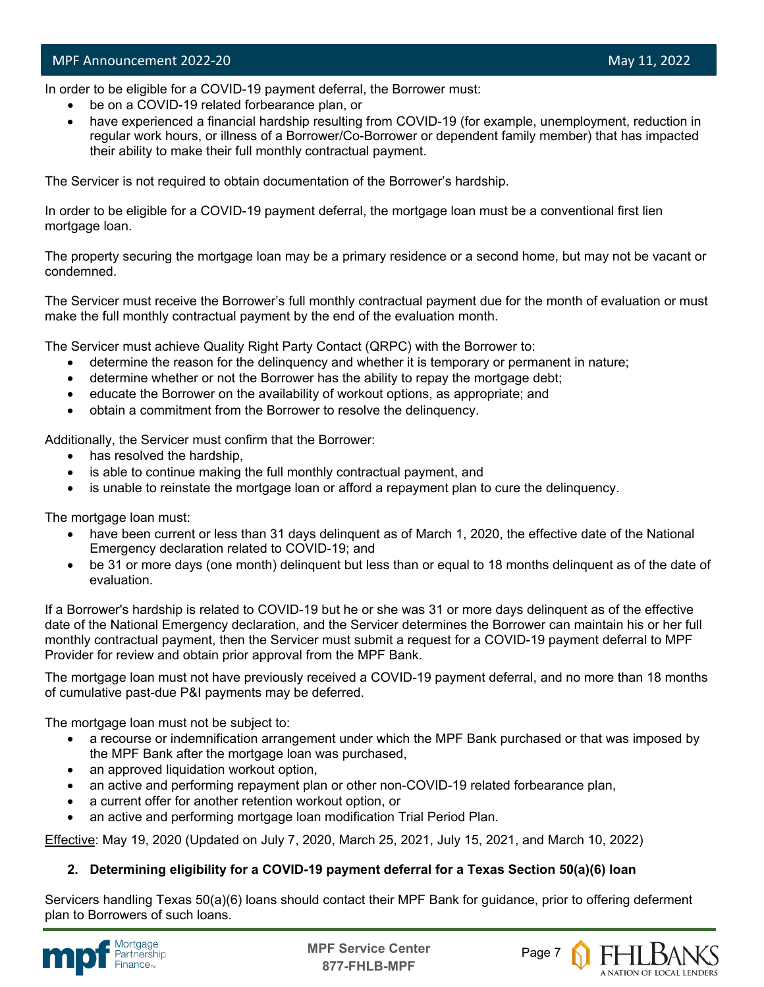l

In order to be eligible for a COVID-19 payment deferral, the Borrower must:

- be on a COVID-19 related forbearance plan, or
- have experienced a financial hardship resulting from COVID-19 (for example, unemployment, reduction in regular work hours, or illness of a Borrower/Co-Borrower or dependent family member) that has impacted their ability to make their full monthly contractual payment.

The Servicer is not required to obtain documentation of the Borrower's hardship.

In order to be eligible for a COVID-19 payment deferral, the mortgage loan must be a conventional first lien mortgage loan.

The property securing the mortgage loan may be a primary residence or a second home, but may not be vacant or condemned.

The Servicer must receive the Borrower's full monthly contractual payment due for the month of evaluation or must make the full monthly contractual payment by the end of the evaluation month.

The Servicer must achieve Quality Right Party Contact (QRPC) with the Borrower to:

- determine the reason for the delinquency and whether it is temporary or permanent in nature;
- determine whether or not the Borrower has the ability to repay the mortgage debt;
- educate the Borrower on the availability of workout options, as appropriate; and
- obtain a commitment from the Borrower to resolve the delinquency.

Additionally, the Servicer must confirm that the Borrower:

- has resolved the hardship,
- is able to continue making the full monthly contractual payment, and
- is unable to reinstate the mortgage loan or afford a repayment plan to cure the delinquency.

The mortgage loan must:

- have been current or less than 31 days delinquent as of March 1, 2020, the effective date of the National Emergency declaration related to COVID-19; and
- be 31 or more days (one month) delinquent but less than or equal to 18 months delinquent as of the date of evaluation.

If a Borrower's hardship is related to COVID-19 but he or she was 31 or more days delinquent as of the effective date of the National Emergency declaration, and the Servicer determines the Borrower can maintain his or her full monthly contractual payment, then the Servicer must submit a request for a COVID-19 payment deferral to MPF Provider for review and obtain prior approval from the MPF Bank.

The mortgage loan must not have previously received a COVID-19 payment deferral, and no more than 18 months of cumulative past-due P&I payments may be deferred.

The mortgage loan must not be subject to:

- a recourse or indemnification arrangement under which the MPF Bank purchased or that was imposed by the MPF Bank after the mortgage loan was purchased,
- an approved liquidation workout option,
- an active and performing repayment plan or other non-COVID-19 related forbearance plan,
- a current offer for another retention workout option, or
- an active and performing mortgage loan modification Trial Period Plan.

Effective: May 19, 2020 (Updated on July 7, 2020, March 25, 2021, July 15, 2021, and March 10, 2022)

# **2. Determining eligibility for a COVID-19 payment deferral for a Texas Section 50(a)(6) loan**

Servicers handling Texas 50(a)(6) loans should contact their MPF Bank for guidance, prior to offering deferment plan to Borrowers of such loans.



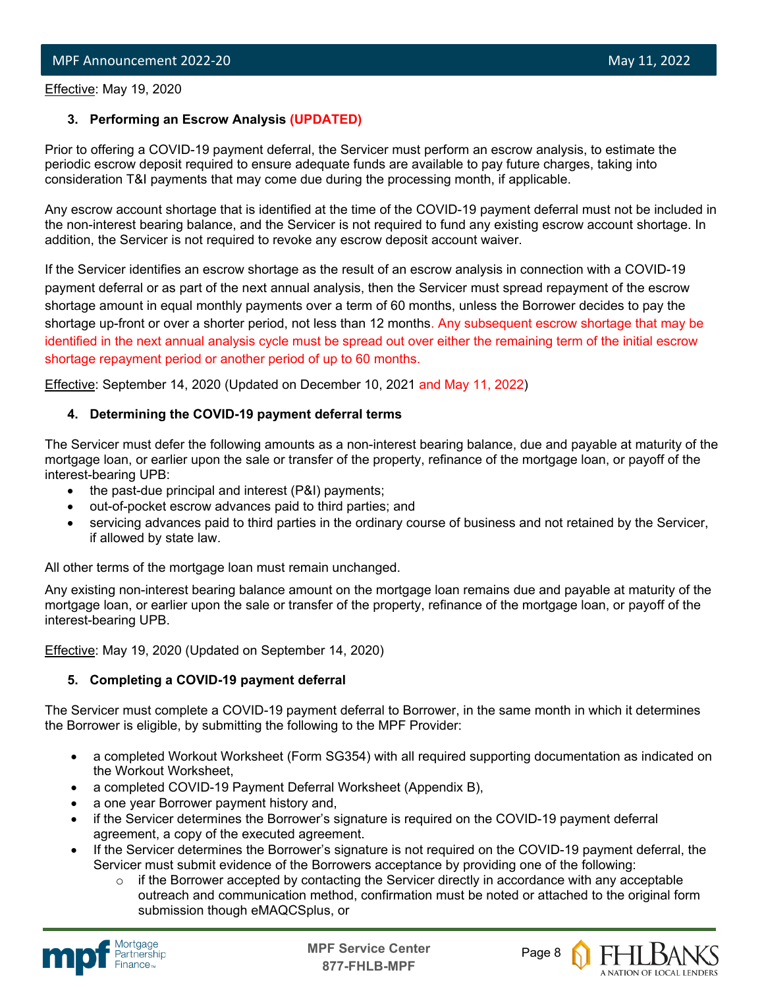l Effective: May 19, 2020

# **3. Performing an Escrow Analysis (UPDATED)**

Prior to offering a COVID-19 payment deferral, the Servicer must perform an escrow analysis, to estimate the periodic escrow deposit required to ensure adequate funds are available to pay future charges, taking into consideration T&I payments that may come due during the processing month, if applicable.

Any escrow account shortage that is identified at the time of the COVID-19 payment deferral must not be included in the non-interest bearing balance, and the Servicer is not required to fund any existing escrow account shortage. In addition, the Servicer is not required to revoke any escrow deposit account waiver.

If the Servicer identifies an escrow shortage as the result of an escrow analysis in connection with a COVID-19 payment deferral or as part of the next annual analysis, then the Servicer must spread repayment of the escrow shortage amount in equal monthly payments over a term of 60 months, unless the Borrower decides to pay the shortage up-front or over a shorter period, not less than 12 months. Any subsequent escrow shortage that may be identified in the next annual analysis cycle must be spread out over either the remaining term of the initial escrow shortage repayment period or another period of up to 60 months.

Effective: September 14, 2020 (Updated on December 10, 2021 and May 11, 2022)

#### **4. Determining the COVID-19 payment deferral terms**

The Servicer must defer the following amounts as a non-interest bearing balance, due and payable at maturity of the mortgage loan, or earlier upon the sale or transfer of the property, refinance of the mortgage loan, or payoff of the interest-bearing UPB:

- the past-due principal and interest (P&I) payments;
- out-of-pocket escrow advances paid to third parties; and
- servicing advances paid to third parties in the ordinary course of business and not retained by the Servicer, if allowed by state law.

All other terms of the mortgage loan must remain unchanged.

Any existing non-interest bearing balance amount on the mortgage loan remains due and payable at maturity of the mortgage loan, or earlier upon the sale or transfer of the property, refinance of the mortgage loan, or payoff of the interest-bearing UPB.

Effective: May 19, 2020 (Updated on September 14, 2020)

#### **5. Completing a COVID-19 payment deferral**

The Servicer must complete a COVID-19 payment deferral to Borrower, in the same month in which it determines the Borrower is eligible, by submitting the following to the MPF Provider:

- a completed Workout Worksheet (Form SG354) with all required supporting documentation as indicated on the Workout Worksheet,
- a completed COVID-19 Payment Deferral Worksheet (Appendix B),
- a one year Borrower payment history and,
- if the Servicer determines the Borrower's signature is required on the COVID-19 payment deferral agreement, a copy of the executed agreement.
- If the Servicer determines the Borrower's signature is not required on the COVID-19 payment deferral, the Servicer must submit evidence of the Borrowers acceptance by providing one of the following:
	- $\circ$  if the Borrower accepted by contacting the Servicer directly in accordance with any acceptable outreach and communication method, confirmation must be noted or attached to the original form submission though eMAQCSplus, or





A NATION OF LOCAL LENDERS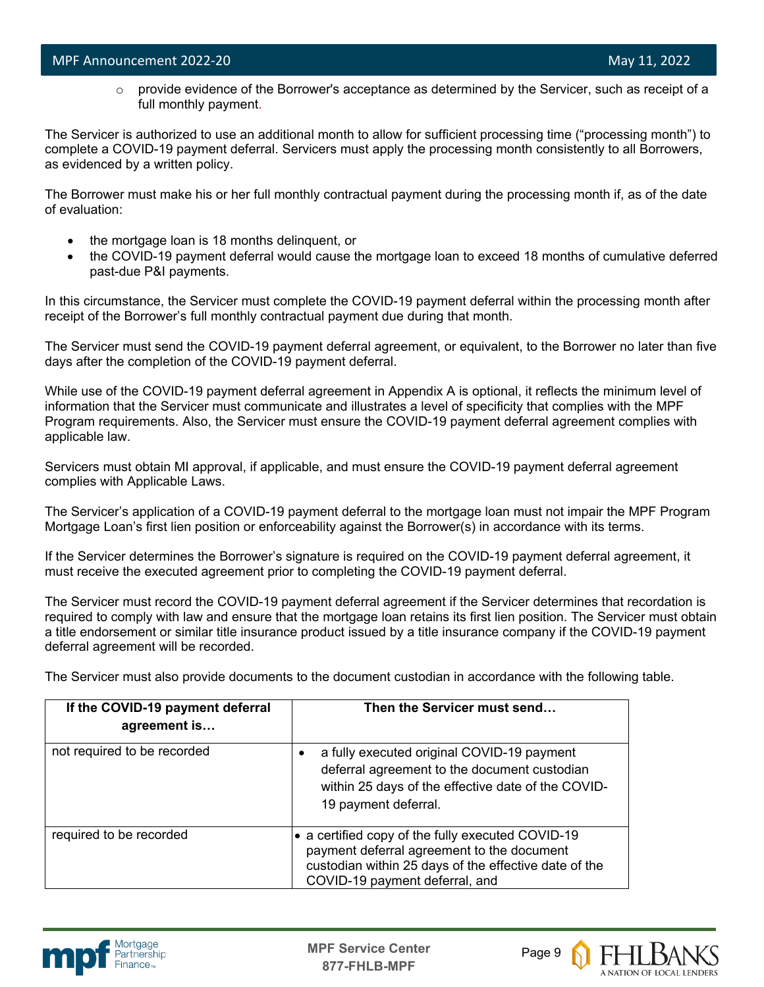$\circ$  provide evidence of the Borrower's acceptance as determined by the Servicer, such as receipt of a full monthly payment.

The Servicer is authorized to use an additional month to allow for sufficient processing time ("processing month") to complete a COVID-19 payment deferral. Servicers must apply the processing month consistently to all Borrowers, as evidenced by a written policy.

The Borrower must make his or her full monthly contractual payment during the processing month if, as of the date of evaluation:

- the mortgage loan is 18 months delinquent, or
- the COVID-19 payment deferral would cause the mortgage loan to exceed 18 months of cumulative deferred past-due P&I payments.

In this circumstance, the Servicer must complete the COVID-19 payment deferral within the processing month after receipt of the Borrower's full monthly contractual payment due during that month.

The Servicer must send the COVID-19 payment deferral agreement, or equivalent, to the Borrower no later than five days after the completion of the COVID-19 payment deferral.

While use of the COVID-19 payment deferral agreement in Appendix A is optional, it reflects the minimum level of information that the Servicer must communicate and illustrates a level of specificity that complies with the MPF Program requirements. Also, the Servicer must ensure the COVID-19 payment deferral agreement complies with applicable law.

Servicers must obtain MI approval, if applicable, and must ensure the COVID-19 payment deferral agreement complies with Applicable Laws.

The Servicer's application of a COVID-19 payment deferral to the mortgage loan must not impair the MPF Program Mortgage Loan's first lien position or enforceability against the Borrower(s) in accordance with its terms.

If the Servicer determines the Borrower's signature is required on the COVID-19 payment deferral agreement, it must receive the executed agreement prior to completing the COVID-19 payment deferral.

The Servicer must record the COVID-19 payment deferral agreement if the Servicer determines that recordation is required to comply with law and ensure that the mortgage loan retains its first lien position. The Servicer must obtain a title endorsement or similar title insurance product issued by a title insurance company if the COVID-19 payment deferral agreement will be recorded.

The Servicer must also provide documents to the document custodian in accordance with the following table.

| If the COVID-19 payment deferral<br>agreement is | Then the Servicer must send                                                                                                                                                                |
|--------------------------------------------------|--------------------------------------------------------------------------------------------------------------------------------------------------------------------------------------------|
| not required to be recorded                      | a fully executed original COVID-19 payment<br>deferral agreement to the document custodian<br>within 25 days of the effective date of the COVID-<br>19 payment deferral.                   |
| required to be recorded                          | • a certified copy of the fully executed COVID-19<br>payment deferral agreement to the document<br>custodian within 25 days of the effective date of the<br>COVID-19 payment deferral, and |





NATION OF LOCAL LENDER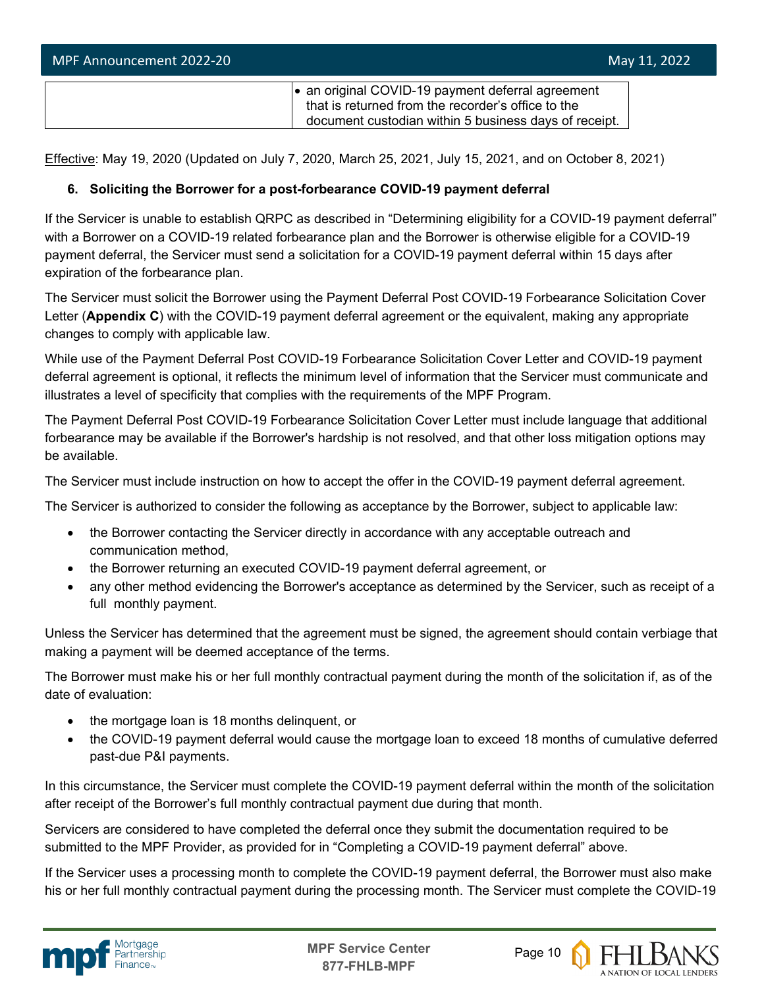| MPF Announcement 2022-20 | May 11, 2022                                                                                                                                                             |  |
|--------------------------|--------------------------------------------------------------------------------------------------------------------------------------------------------------------------|--|
|                          | $\bullet$ an original COVID-19 payment deferral agreement<br>that is returned from the recorder's office to the<br>document custodian within 5 business days of receipt. |  |

Effective: May 19, 2020 (Updated on July 7, 2020, March 25, 2021, July 15, 2021, and on October 8, 2021)

# **6. Soliciting the Borrower for a post-forbearance COVID-19 payment deferral**

If the Servicer is unable to establish QRPC as described in "Determining eligibility for a COVID-19 payment deferral" with a Borrower on a COVID-19 related forbearance plan and the Borrower is otherwise eligible for a COVID-19 payment deferral, the Servicer must send a solicitation for a COVID-19 payment deferral within 15 days after expiration of the forbearance plan.

The Servicer must solicit the Borrower using the Payment Deferral Post COVID-19 Forbearance Solicitation Cover Letter (**Appendix C**) with the COVID-19 payment deferral agreement or the equivalent, making any appropriate changes to comply with applicable law.

While use of the Payment Deferral Post COVID-19 Forbearance Solicitation Cover Letter and COVID-19 payment deferral agreement is optional, it reflects the minimum level of information that the Servicer must communicate and illustrates a level of specificity that complies with the requirements of the MPF Program.

The Payment Deferral Post COVID-19 Forbearance Solicitation Cover Letter must include language that additional forbearance may be available if the Borrower's hardship is not resolved, and that other loss mitigation options may be available.

The Servicer must include instruction on how to accept the offer in the COVID-19 payment deferral agreement.

The Servicer is authorized to consider the following as acceptance by the Borrower, subject to applicable law:

- the Borrower contacting the Servicer directly in accordance with any acceptable outreach and communication method,
- the Borrower returning an executed COVID-19 payment deferral agreement, or
- any other method evidencing the Borrower's acceptance as determined by the Servicer, such as receipt of a full monthly payment.

Unless the Servicer has determined that the agreement must be signed, the agreement should contain verbiage that making a payment will be deemed acceptance of the terms.

The Borrower must make his or her full monthly contractual payment during the month of the solicitation if, as of the date of evaluation:

- the mortgage loan is 18 months delinquent, or
- the COVID-19 payment deferral would cause the mortgage loan to exceed 18 months of cumulative deferred past-due P&I payments.

In this circumstance, the Servicer must complete the COVID-19 payment deferral within the month of the solicitation after receipt of the Borrower's full monthly contractual payment due during that month.

Servicers are considered to have completed the deferral once they submit the documentation required to be submitted to the MPF Provider, as provided for in "Completing a COVID-19 payment deferral" above.

If the Servicer uses a processing month to complete the COVID-19 payment deferral, the Borrower must also make his or her full monthly contractual payment during the processing month. The Servicer must complete the COVID-19



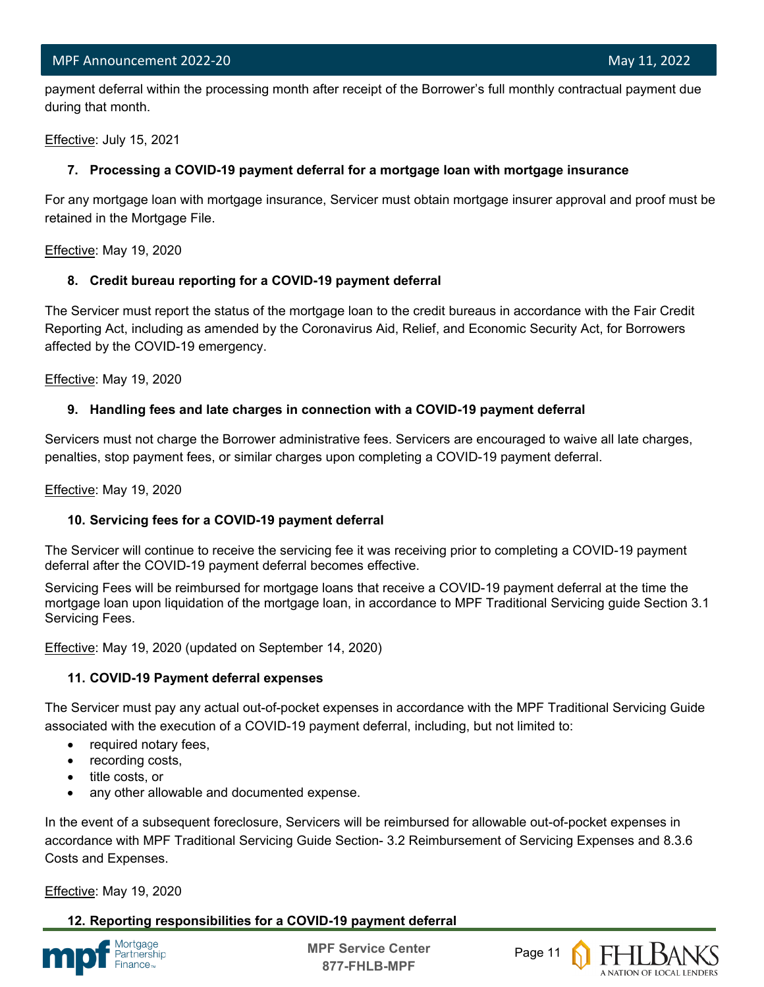l payment deferral within the processing month after receipt of the Borrower's full monthly contractual payment due during that month.

Effective: July 15, 2021

# **7. Processing a COVID-19 payment deferral for a mortgage loan with mortgage insurance**

For any mortgage loan with mortgage insurance, Servicer must obtain mortgage insurer approval and proof must be retained in the Mortgage File.

Effective: May 19, 2020

# **8. Credit bureau reporting for a COVID-19 payment deferral**

The Servicer must report the status of the mortgage loan to the credit bureaus in accordance with the Fair Credit Reporting Act, including as amended by the Coronavirus Aid, Relief, and Economic Security Act, for Borrowers affected by the COVID-19 emergency.

Effective: May 19, 2020

# **9. Handling fees and late charges in connection with a COVID-19 payment deferral**

Servicers must not charge the Borrower administrative fees. Servicers are encouraged to waive all late charges, penalties, stop payment fees, or similar charges upon completing a COVID-19 payment deferral.

Effective: May 19, 2020

# **10. Servicing fees for a COVID-19 payment deferral**

The Servicer will continue to receive the servicing fee it was receiving prior to completing a COVID-19 payment deferral after the COVID-19 payment deferral becomes effective.

Servicing Fees will be reimbursed for mortgage loans that receive a COVID-19 payment deferral at the time the mortgage loan upon liquidation of the mortgage loan, in accordance to MPF Traditional Servicing guide Section 3.1 Servicing Fees.

Effective: May 19, 2020 (updated on September 14, 2020)

# **11. COVID-19 Payment deferral expenses**

The Servicer must pay any actual out-of-pocket expenses in accordance with the MPF Traditional Servicing Guide associated with the execution of a COVID-19 payment deferral, including, but not limited to:

- required notary fees,
- recording costs,
- title costs, or
- any other allowable and documented expense.

In the event of a subsequent foreclosure, Servicers will be reimbursed for allowable out-of-pocket expenses in accordance with MPF Traditional Servicing Guide Section- 3.2 Reimbursement of Servicing Expenses and 8.3.6 Costs and Expenses.

Effective: May 19, 2020

# **12. Reporting responsibilities for a COVID-19 payment deferral**



**MPF Service Center** Page 11 **877-FHLB-MPF**

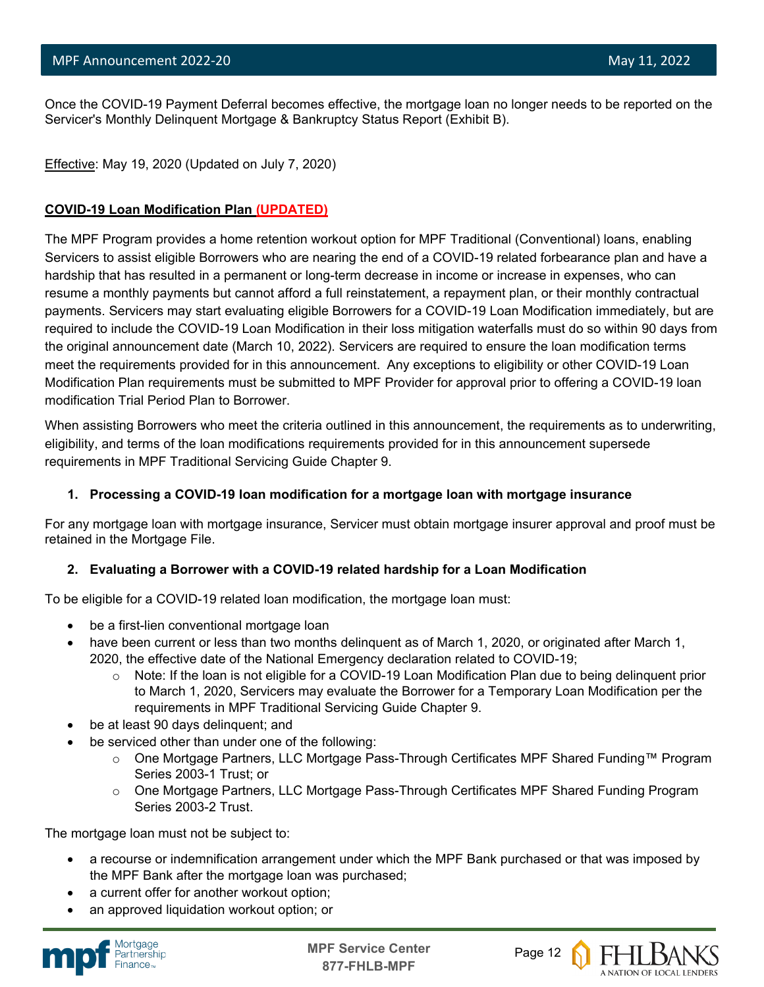Once the COVID-19 Payment Deferral becomes effective, the mortgage loan no longer needs to be reported on the Servicer's Monthly Delinquent Mortgage & Bankruptcy Status Report (Exhibit B).

Effective: May 19, 2020 (Updated on July 7, 2020)

# **COVID-19 Loan Modification Plan (UPDATED)**

The MPF Program provides a home retention workout option for MPF Traditional (Conventional) loans, enabling Servicers to assist eligible Borrowers who are nearing the end of a COVID-19 related forbearance plan and have a hardship that has resulted in a permanent or long-term decrease in income or increase in expenses, who can resume a monthly payments but cannot afford a full reinstatement, a repayment plan, or their monthly contractual payments. Servicers may start evaluating eligible Borrowers for a COVID-19 Loan Modification immediately, but are required to include the COVID-19 Loan Modification in their loss mitigation waterfalls must do so within 90 days from the original announcement date (March 10, 2022). Servicers are required to ensure the loan modification terms meet the requirements provided for in this announcement. Any exceptions to eligibility or other COVID-19 Loan Modification Plan requirements must be submitted to MPF Provider for approval prior to offering a COVID-19 loan modification Trial Period Plan to Borrower.

When assisting Borrowers who meet the criteria outlined in this announcement, the requirements as to underwriting, eligibility, and terms of the loan modifications requirements provided for in this announcement supersede requirements in MPF Traditional Servicing Guide Chapter 9.

# **1. Processing a COVID-19 loan modification for a mortgage loan with mortgage insurance**

For any mortgage loan with mortgage insurance, Servicer must obtain mortgage insurer approval and proof must be retained in the Mortgage File.

# **2. Evaluating a Borrower with a COVID-19 related hardship for a Loan Modification**

To be eligible for a COVID-19 related loan modification, the mortgage loan must:

- be a first-lien conventional mortgage loan
- have been current or less than two months delinquent as of March 1, 2020, or originated after March 1, 2020, the effective date of the National Emergency declaration related to COVID-19;
	- $\circ$  Note: If the loan is not eligible for a COVID-19 Loan Modification Plan due to being delinquent prior to March 1, 2020, Servicers may evaluate the Borrower for a Temporary Loan Modification per the requirements in MPF Traditional Servicing Guide Chapter 9.
- be at least 90 days delinguent; and
- be serviced other than under one of the following:
	- o One Mortgage Partners, LLC Mortgage Pass-Through Certificates MPF Shared Funding™ Program Series 2003-1 Trust; or
	- o One Mortgage Partners, LLC Mortgage Pass-Through Certificates MPF Shared Funding Program Series 2003-2 Trust.

The mortgage loan must not be subject to:

- a recourse or indemnification arrangement under which the MPF Bank purchased or that was imposed by the MPF Bank after the mortgage loan was purchased;
- a current offer for another workout option;
- an approved liquidation workout option; or



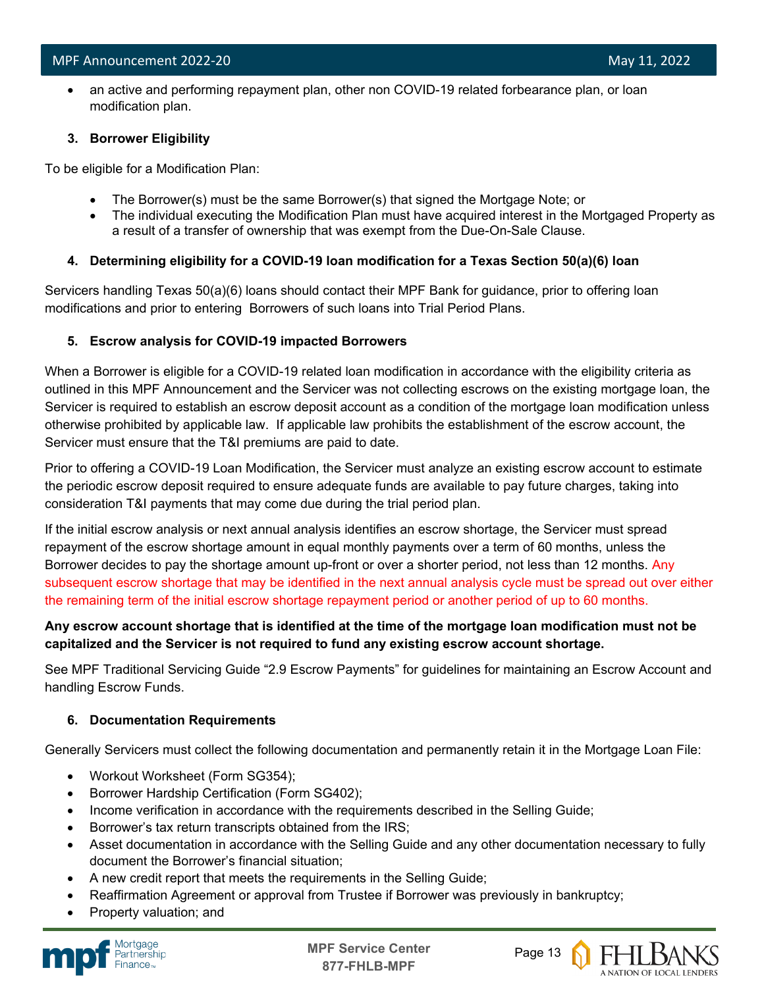• an active and performing repayment plan, other non COVID-19 related forbearance plan, or loan modification plan.

#### **3. Borrower Eligibility**

To be eligible for a Modification Plan:

- The Borrower(s) must be the same Borrower(s) that signed the Mortgage Note; or
- The individual executing the Modification Plan must have acquired interest in the Mortgaged Property as a result of a transfer of ownership that was exempt from the Due-On-Sale Clause.

# **4. Determining eligibility for a COVID-19 loan modification for a Texas Section 50(a)(6) loan**

Servicers handling Texas 50(a)(6) loans should contact their MPF Bank for guidance, prior to offering loan modifications and prior to entering Borrowers of such loans into Trial Period Plans.

#### **5. Escrow analysis for COVID-19 impacted Borrowers**

When a Borrower is eligible for a COVID-19 related loan modification in accordance with the eligibility criteria as outlined in this MPF Announcement and the Servicer was not collecting escrows on the existing mortgage loan, the Servicer is required to establish an escrow deposit account as a condition of the mortgage loan modification unless otherwise prohibited by applicable law. If applicable law prohibits the establishment of the escrow account, the Servicer must ensure that the T&I premiums are paid to date.

Prior to offering a COVID-19 Loan Modification, the Servicer must analyze an existing escrow account to estimate the periodic escrow deposit required to ensure adequate funds are available to pay future charges, taking into consideration T&I payments that may come due during the trial period plan.

If the initial escrow analysis or next annual analysis identifies an escrow shortage, the Servicer must spread repayment of the escrow shortage amount in equal monthly payments over a term of 60 months, unless the Borrower decides to pay the shortage amount up-front or over a shorter period, not less than 12 months. Any subsequent escrow shortage that may be identified in the next annual analysis cycle must be spread out over either the remaining term of the initial escrow shortage repayment period or another period of up to 60 months.

# **Any escrow account shortage that is identified at the time of the mortgage loan modification must not be capitalized and the Servicer is not required to fund any existing escrow account shortage.**

See MPF Traditional Servicing Guide "2.9 Escrow Payments" for guidelines for maintaining an Escrow Account and handling Escrow Funds.

# **6. Documentation Requirements**

Generally Servicers must collect the following documentation and permanently retain it in the Mortgage Loan File:

- Workout Worksheet (Form SG354);
- Borrower Hardship Certification (Form SG402);
- Income verification in accordance with the requirements described in the Selling Guide;
- Borrower's tax return transcripts obtained from the IRS;
- Asset documentation in accordance with the Selling Guide and any other documentation necessary to fully document the Borrower's financial situation;
- A new credit report that meets the requirements in the Selling Guide;
- Reaffirmation Agreement or approval from Trustee if Borrower was previously in bankruptcy;
- Property valuation; and



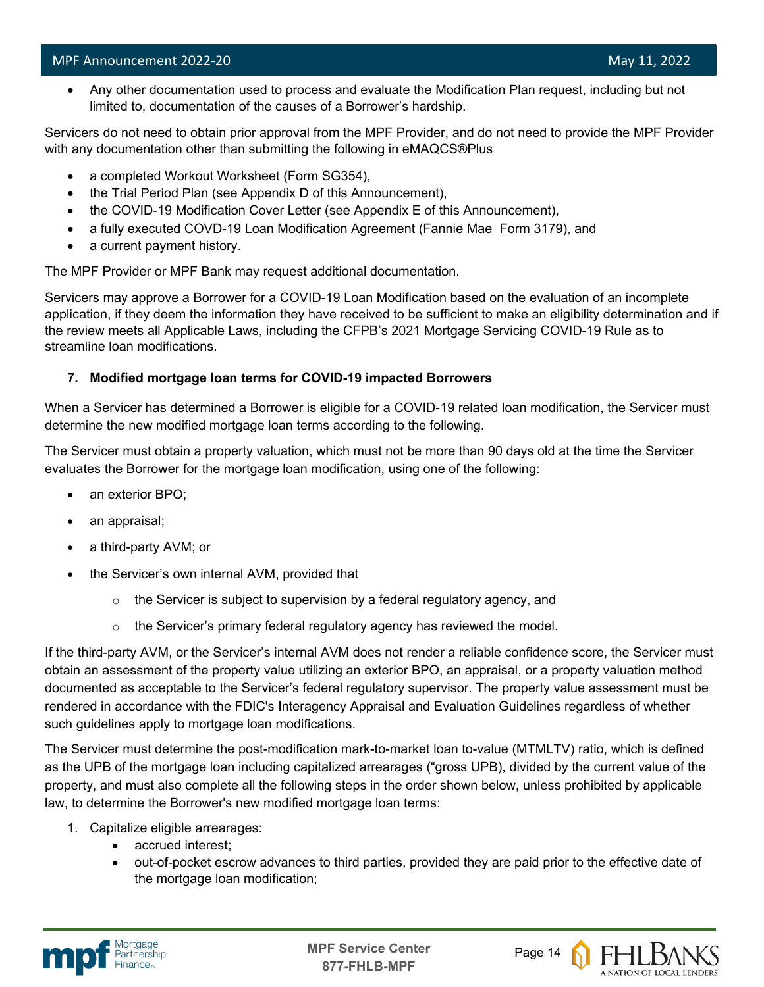l

 • Any other documentation used to process and evaluate the Modification Plan request, including but not limited to, documentation of the causes of a Borrower's hardship.

Servicers do not need to obtain prior approval from the MPF Provider, and do not need to provide the MPF Provider with any documentation other than submitting the following in eMAQCS®Plus

- a completed Workout Worksheet (Form SG354),
- the Trial Period Plan (see Appendix D of this Announcement),
- the COVID-19 Modification Cover Letter (see Appendix E of this Announcement),
- a fully executed COVD-19 Loan Modification Agreement (Fannie Mae Form 3179), and
- a current payment history.

The MPF Provider or MPF Bank may request additional documentation.

Servicers may approve a Borrower for a COVID-19 Loan Modification based on the evaluation of an incomplete application, if they deem the information they have received to be sufficient to make an eligibility determination and if the review meets all Applicable Laws, including the CFPB's 2021 Mortgage Servicing COVID-19 Rule as to streamline loan modifications.

# **7. Modified mortgage loan terms for COVID-19 impacted Borrowers**

When a Servicer has determined a Borrower is eligible for a COVID-19 related loan modification, the Servicer must determine the new modified mortgage loan terms according to the following.

The Servicer must obtain a property valuation, which must not be more than 90 days old at the time the Servicer evaluates the Borrower for the mortgage loan modification, using one of the following:

- an exterior BPO;
- an appraisal;
- a third-party AVM; or
- the Servicer's own internal AVM, provided that
	- $\circ$  the Servicer is subject to supervision by a federal regulatory agency, and
	- $\circ$  the Servicer's primary federal regulatory agency has reviewed the model.

If the third-party AVM, or the Servicer's internal AVM does not render a reliable confidence score, the Servicer must obtain an assessment of the property value utilizing an exterior BPO, an appraisal, or a property valuation method documented as acceptable to the Servicer's federal regulatory supervisor. The property value assessment must be rendered in accordance with the FDIC's Interagency Appraisal and Evaluation Guidelines regardless of whether such guidelines apply to mortgage loan modifications.

The Servicer must determine the post-modification mark-to-market loan to-value (MTMLTV) ratio, which is defined as the UPB of the mortgage loan including capitalized arrearages ("gross UPB), divided by the current value of the property, and must also complete all the following steps in the order shown below, unless prohibited by applicable law, to determine the Borrower's new modified mortgage loan terms:

- 1. Capitalize eligible arrearages:
	- accrued interest:
	- out-of-pocket escrow advances to third parties, provided they are paid prior to the effective date of the mortgage loan modification;



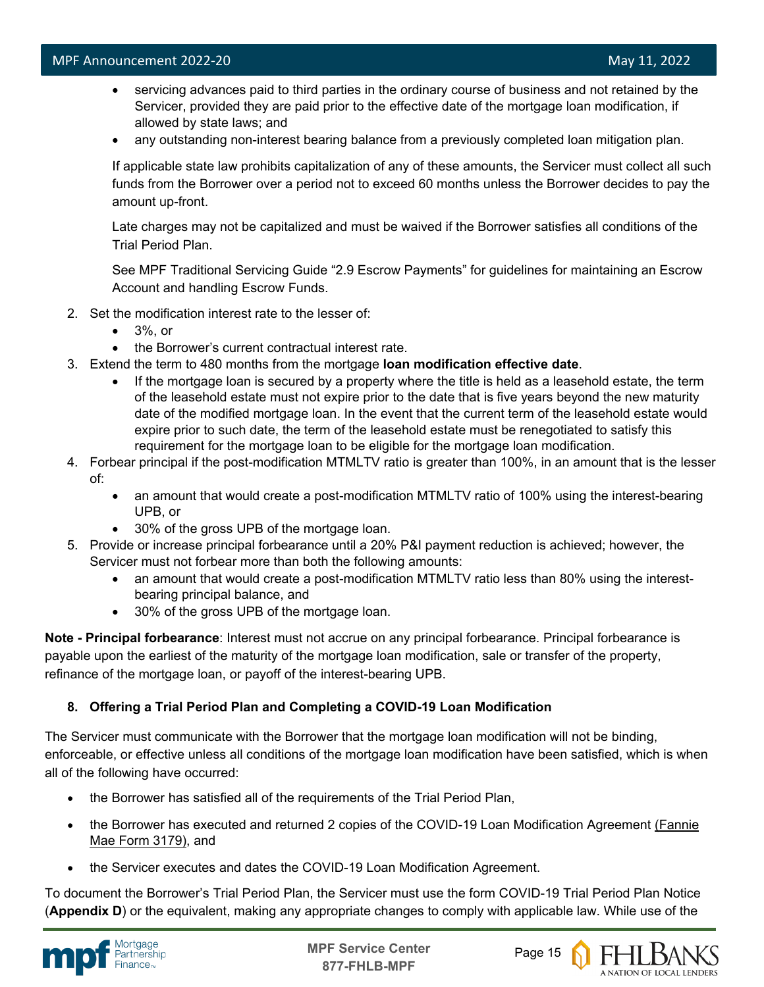- servicing advances paid to third parties in the ordinary course of business and not retained by the Servicer, provided they are paid prior to the effective date of the mortgage loan modification, if allowed by state laws; and
- any outstanding non-interest bearing balance from a previously completed loan mitigation plan.

If applicable state law prohibits capitalization of any of these amounts, the Servicer must collect all such funds from the Borrower over a period not to exceed 60 months unless the Borrower decides to pay the amount up-front.

Late charges may not be capitalized and must be waived if the Borrower satisfies all conditions of the Trial Period Plan.

See MPF Traditional Servicing Guide "2.9 Escrow Payments" for guidelines for maintaining an Escrow Account and handling Escrow Funds.

- 2. Set the modification interest rate to the lesser of:
	- 3%, or
	- the Borrower's current contractual interest rate.
- 3. Extend the term to 480 months from the mortgage **loan modification effective date**.
	- If the mortgage loan is secured by a property where the title is held as a leasehold estate, the term of the leasehold estate must not expire prior to the date that is five years beyond the new maturity date of the modified mortgage loan. In the event that the current term of the leasehold estate would expire prior to such date, the term of the leasehold estate must be renegotiated to satisfy this requirement for the mortgage loan to be eligible for the mortgage loan modification.
- 4. Forbear principal if the post-modification MTMLTV ratio is greater than 100%, in an amount that is the lesser of:
	- an amount that would create a post-modification MTMLTV ratio of 100% using the interest-bearing UPB, or
	- 30% of the gross UPB of the mortgage loan.
- 5. Provide or increase principal forbearance until a 20% P&I payment reduction is achieved; however, the Servicer must not forbear more than both the following amounts:
	- an amount that would create a post-modification MTMLTV ratio less than 80% using the interestbearing principal balance, and
	- 30% of the gross UPB of the mortgage loan.

**Note - Principal forbearance**: Interest must not accrue on any principal forbearance. Principal forbearance is payable upon the earliest of the maturity of the mortgage loan modification, sale or transfer of the property, refinance of the mortgage loan, or payoff of the interest-bearing UPB.

# **8. Offering a Trial Period Plan and Completing a COVID-19 Loan Modification**

The Servicer must communicate with the Borrower that the mortgage loan modification will not be binding, enforceable, or effective unless all conditions of the mortgage loan modification have been satisfied, which is when all of the following have occurred:

- the Borrower has satisfied all of the requirements of the Trial Period Plan,
- the Borrower has executed and returned 2 copies of the COVID-19 Loan Modification Agreement (Fannie [Mae Form 3179\),](https://singlefamily.fanniemae.com/media/document/pdf/loan-modification-agreement-form-3179-pdf) and
- the Servicer executes and dates the COVID-19 Loan Modification Agreement.

To document the Borrower's Trial Period Plan, the Servicer must use the form COVID-19 Trial Period Plan Notice (**Appendix D**) or the equivalent, making any appropriate changes to comply with applicable law. While use of the





A NATION OF LOCAL LENDERS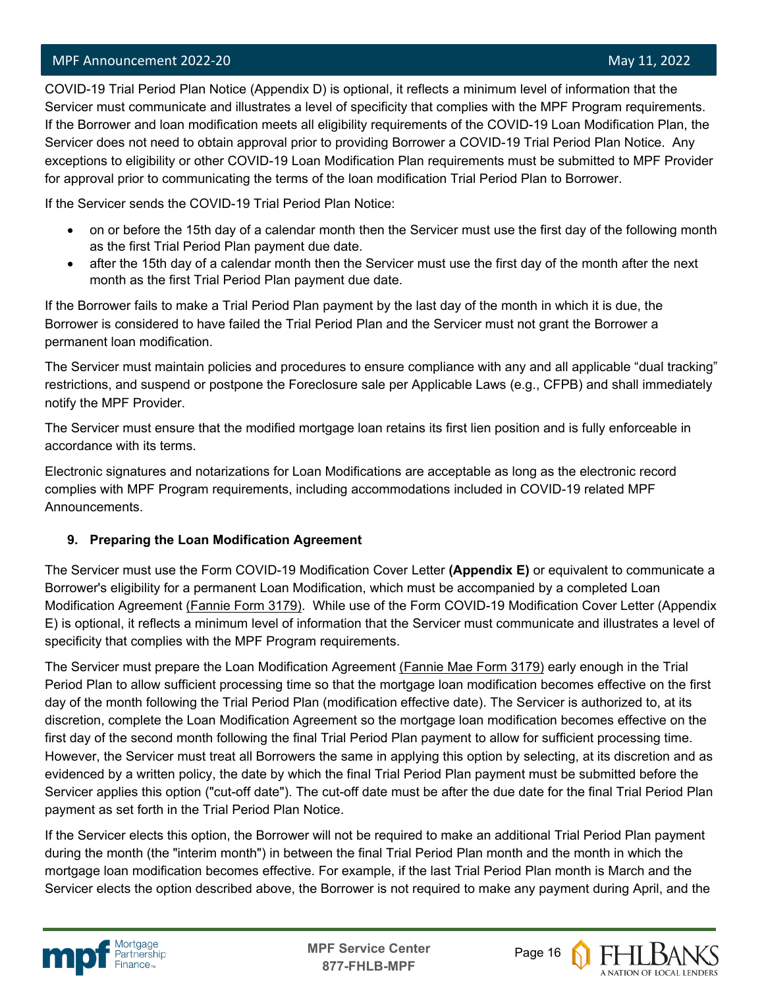l COVID-19 Trial Period Plan Notice (Appendix D) is optional, it reflects a minimum level of information that the Servicer must communicate and illustrates a level of specificity that complies with the MPF Program requirements. If the Borrower and loan modification meets all eligibility requirements of the COVID-19 Loan Modification Plan, the Servicer does not need to obtain approval prior to providing Borrower a COVID-19 Trial Period Plan Notice. Any exceptions to eligibility or other COVID-19 Loan Modification Plan requirements must be submitted to MPF Provider for approval prior to communicating the terms of the loan modification Trial Period Plan to Borrower.

If the Servicer sends the COVID-19 Trial Period Plan Notice:

- on or before the 15th day of a calendar month then the Servicer must use the first day of the following month as the first Trial Period Plan payment due date.
- after the 15th day of a calendar month then the Servicer must use the first day of the month after the next month as the first Trial Period Plan payment due date.

If the Borrower fails to make a Trial Period Plan payment by the last day of the month in which it is due, the Borrower is considered to have failed the Trial Period Plan and the Servicer must not grant the Borrower a permanent loan modification.

The Servicer must maintain policies and procedures to ensure compliance with any and all applicable "dual tracking" restrictions, and suspend or postpone the Foreclosure sale per Applicable Laws (e.g., CFPB) and shall immediately notify the MPF Provider.

The Servicer must ensure that the modified mortgage loan retains its first lien position and is fully enforceable in accordance with its terms.

Electronic signatures and notarizations for Loan Modifications are acceptable as long as the electronic record complies with MPF Program requirements, including accommodations included in COVID-19 related MPF Announcements.

# **9. Preparing the Loan Modification Agreement**

The Servicer must use the Form COVID-19 Modification Cover Letter **(Appendix E)** or equivalent to communicate a Borrower's eligibility for a permanent Loan Modification, which must be accompanied by a completed Loan Modification Agreement [\(Fannie Form 3179\).](https://singlefamily.fanniemae.com/media/document/pdf/loan-modification-agreement-form-3179-pdf) While use of the Form COVID-19 Modification Cover Letter (Appendix E) is optional, it reflects a minimum level of information that the Servicer must communicate and illustrates a level of specificity that complies with the MPF Program requirements.

The Servicer must prepare the Loan Modification Agreement [\(Fannie Mae Form 3179\)](https://singlefamily.fanniemae.com/media/document/pdf/loan-modification-agreement-form-3179-pdf) early enough in the Trial Period Plan to allow sufficient processing time so that the mortgage loan modification becomes effective on the first day of the month following the Trial Period Plan (modification effective date). The Servicer is authorized to, at its discretion, complete the Loan Modification Agreement so the mortgage loan modification becomes effective on the first day of the second month following the final Trial Period Plan payment to allow for sufficient processing time. However, the Servicer must treat all Borrowers the same in applying this option by selecting, at its discretion and as evidenced by a written policy, the date by which the final Trial Period Plan payment must be submitted before the Servicer applies this option ("cut-off date"). The cut-off date must be after the due date for the final Trial Period Plan payment as set forth in the Trial Period Plan Notice.

If the Servicer elects this option, the Borrower will not be required to make an additional Trial Period Plan payment during the month (the "interim month") in between the final Trial Period Plan month and the month in which the mortgage loan modification becomes effective. For example, if the last Trial Period Plan month is March and the Servicer elects the option described above, the Borrower is not required to make any payment during April, and the



A NATION OF LOCAL LENDER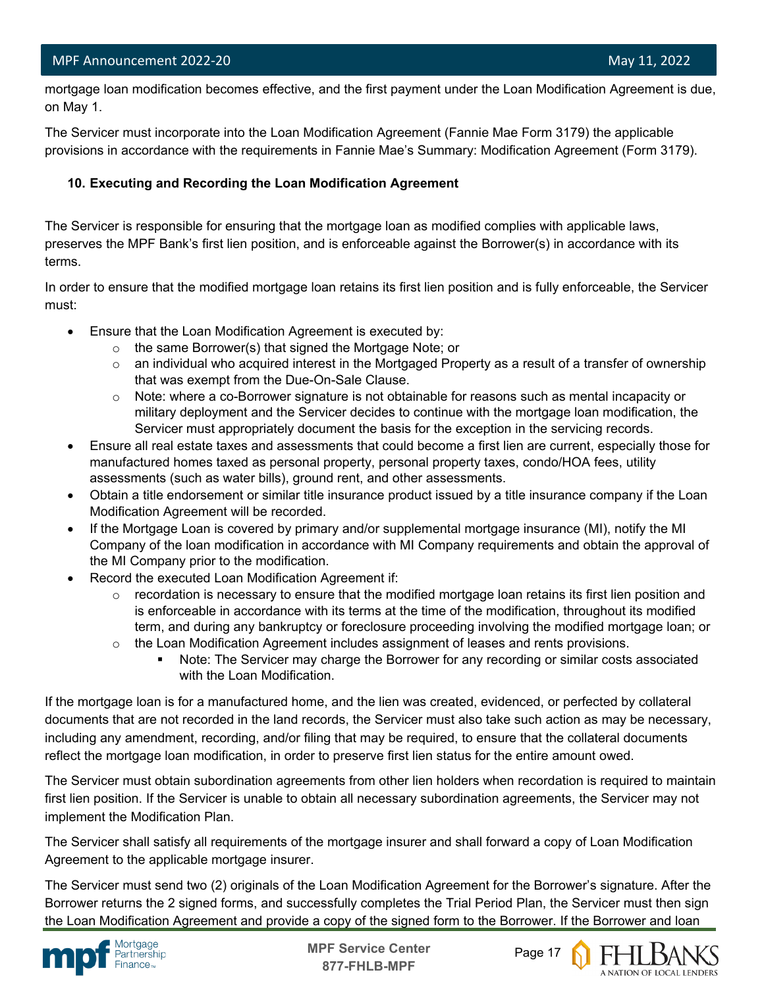l mortgage loan modification becomes effective, and the first payment under the Loan Modification Agreement is due, on May 1.

The Servicer must incorporate into the Loan Modification Agreement (Fannie Mae Form 3179) the applicable provisions in accordance with the requirements in Fannie Mae's Summary: Modification Agreement (Form 3179).

# **10. Executing and Recording the Loan Modification Agreement**

The Servicer is responsible for ensuring that the mortgage loan as modified complies with applicable laws, preserves the MPF Bank's first lien position, and is enforceable against the Borrower(s) in accordance with its terms.

In order to ensure that the modified mortgage loan retains its first lien position and is fully enforceable, the Servicer must:

- Ensure that the Loan Modification Agreement is executed by:
	- o the same Borrower(s) that signed the Mortgage Note; or
	- o an individual who acquired interest in the Mortgaged Property as a result of a transfer of ownership that was exempt from the Due-On-Sale Clause.
	- $\circ$  Note: where a co-Borrower signature is not obtainable for reasons such as mental incapacity or military deployment and the Servicer decides to continue with the mortgage loan modification, the Servicer must appropriately document the basis for the exception in the servicing records.
- Ensure all real estate taxes and assessments that could become a first lien are current, especially those for manufactured homes taxed as personal property, personal property taxes, condo/HOA fees, utility assessments (such as water bills), ground rent, and other assessments.
- Obtain a title endorsement or similar title insurance product issued by a title insurance company if the Loan Modification Agreement will be recorded.
- If the Mortgage Loan is covered by primary and/or supplemental mortgage insurance (MI), notify the MI Company of the loan modification in accordance with MI Company requirements and obtain the approval of the MI Company prior to the modification.
- Record the executed Loan Modification Agreement if:
	- $\circ$  recordation is necessary to ensure that the modified mortgage loan retains its first lien position and is enforceable in accordance with its terms at the time of the modification, throughout its modified term, and during any bankruptcy or foreclosure proceeding involving the modified mortgage loan; or
	- $\circ$  the Loan Modification Agreement includes assignment of leases and rents provisions.
		- Note: The Servicer may charge the Borrower for any recording or similar costs associated with the Loan Modification.

If the mortgage loan is for a manufactured home, and the lien was created, evidenced, or perfected by collateral documents that are not recorded in the land records, the Servicer must also take such action as may be necessary, including any amendment, recording, and/or filing that may be required, to ensure that the collateral documents reflect the mortgage loan modification, in order to preserve first lien status for the entire amount owed.

The Servicer must obtain subordination agreements from other lien holders when recordation is required to maintain first lien position. If the Servicer is unable to obtain all necessary subordination agreements, the Servicer may not implement the Modification Plan.

The Servicer shall satisfy all requirements of the mortgage insurer and shall forward a copy of Loan Modification Agreement to the applicable mortgage insurer.

The Servicer must send two (2) originals of the Loan Modification Agreement for the Borrower's signature. After the Borrower returns the 2 signed forms, and successfully completes the Trial Period Plan, the Servicer must then sign the Loan Modification Agreement and provide a copy of the signed form to the Borrower. If the Borrower and loan



**MPF Service Center** Page 17 **877-FHLB-MPF**



A NATION OF LOCAL LENDERS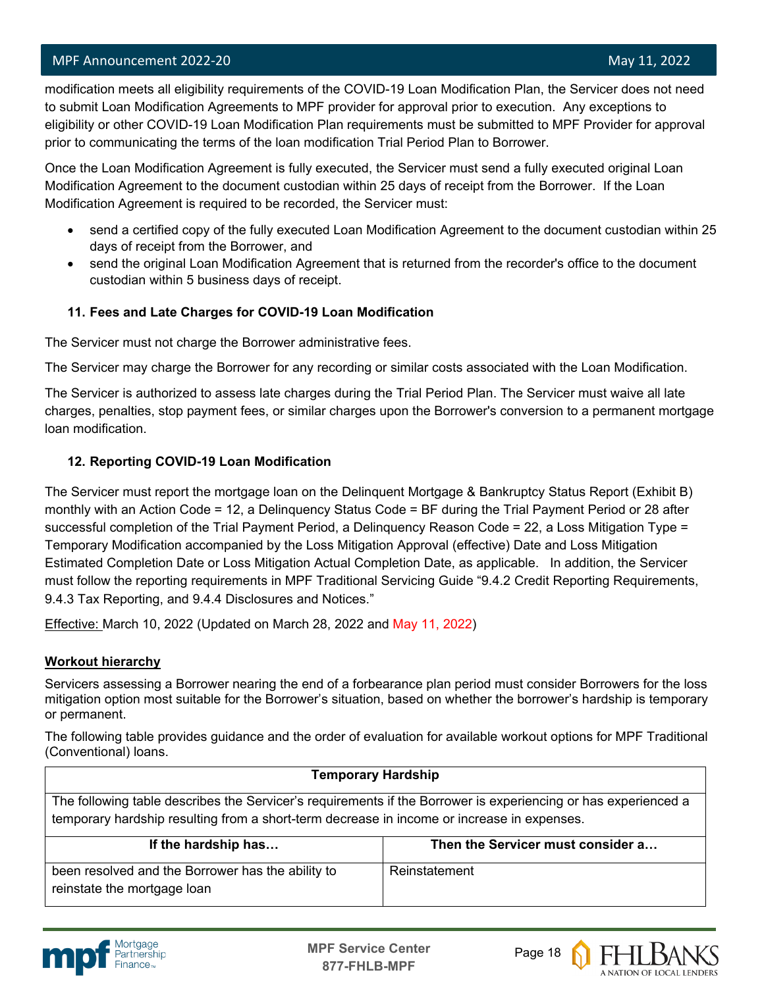l

 modification meets all eligibility requirements of the COVID-19 Loan Modification Plan, the Servicer does not need to submit Loan Modification Agreements to MPF provider for approval prior to execution. Any exceptions to eligibility or other COVID-19 Loan Modification Plan requirements must be submitted to MPF Provider for approval prior to communicating the terms of the loan modification Trial Period Plan to Borrower.

Once the Loan Modification Agreement is fully executed, the Servicer must send a fully executed original Loan Modification Agreement to the document custodian within 25 days of receipt from the Borrower. If the Loan Modification Agreement is required to be recorded, the Servicer must:

- send a certified copy of the fully executed Loan Modification Agreement to the document custodian within 25 days of receipt from the Borrower, and
- send the original Loan Modification Agreement that is returned from the recorder's office to the document custodian within 5 business days of receipt.

# **11. Fees and Late Charges for COVID-19 Loan Modification**

The Servicer must not charge the Borrower administrative fees.

The Servicer may charge the Borrower for any recording or similar costs associated with the Loan Modification.

The Servicer is authorized to assess late charges during the Trial Period Plan. The Servicer must waive all late charges, penalties, stop payment fees, or similar charges upon the Borrower's conversion to a permanent mortgage loan modification.

# **12. Reporting COVID-19 Loan Modification**

The Servicer must report the mortgage loan on the Delinquent Mortgage & Bankruptcy Status Report (Exhibit B) monthly with an Action Code = 12, a Delinquency Status Code = BF during the Trial Payment Period or 28 after successful completion of the Trial Payment Period, a Delinquency Reason Code = 22, a Loss Mitigation Type = Temporary Modification accompanied by the Loss Mitigation Approval (effective) Date and Loss Mitigation Estimated Completion Date or Loss Mitigation Actual Completion Date, as applicable. In addition, the Servicer must follow the reporting requirements in MPF Traditional Servicing Guide "9.4.2 Credit Reporting Requirements, 9.4.3 Tax Reporting, and 9.4.4 Disclosures and Notices."

Effective: March 10, 2022 (Updated on March 28, 2022 and May 11, 2022)

# **Workout hierarchy**

Servicers assessing a Borrower nearing the end of a forbearance plan period must consider Borrowers for the loss mitigation option most suitable for the Borrower's situation, based on whether the borrower's hardship is temporary or permanent.

The following table provides guidance and the order of evaluation for available workout options for MPF Traditional (Conventional) loans.

| <b>Temporary Hardship</b>                                                                                                                                                                                    |                                   |  |  |
|--------------------------------------------------------------------------------------------------------------------------------------------------------------------------------------------------------------|-----------------------------------|--|--|
| The following table describes the Servicer's requirements if the Borrower is experiencing or has experienced a<br>temporary hardship resulting from a short-term decrease in income or increase in expenses. |                                   |  |  |
| If the hardship has                                                                                                                                                                                          | Then the Servicer must consider a |  |  |
| been resolved and the Borrower has the ability to<br>reinstate the mortgage loan                                                                                                                             | Reinstatement                     |  |  |



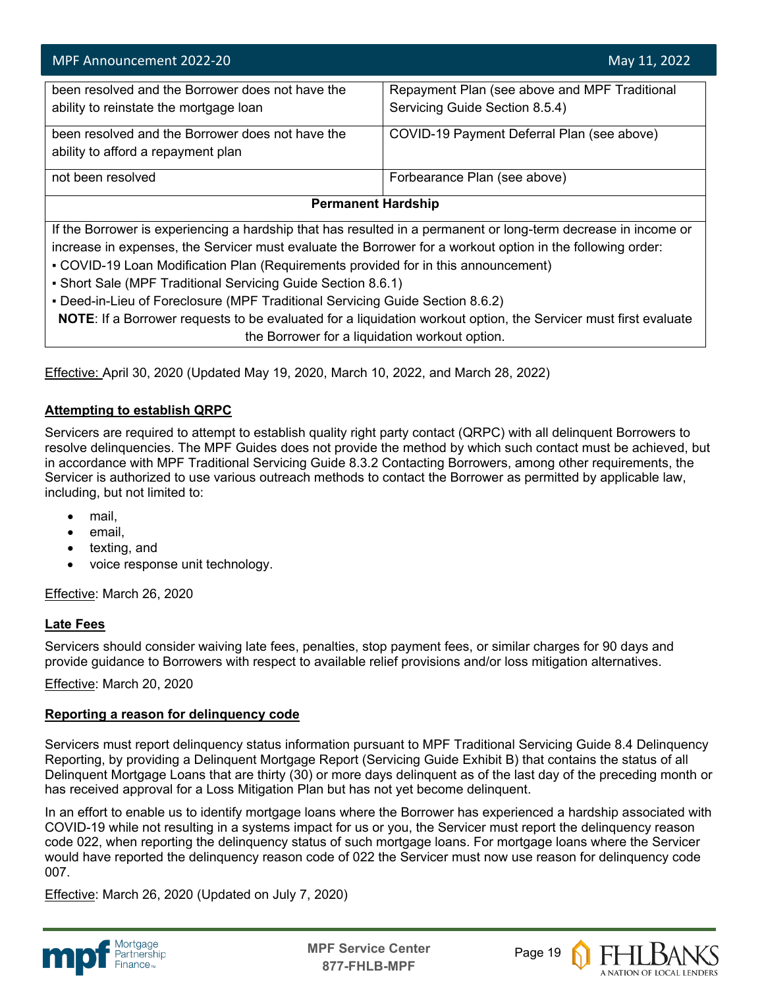| MPF Announcement 2022-20                                                                                       | May 11, 2022                                                                    |  |  |
|----------------------------------------------------------------------------------------------------------------|---------------------------------------------------------------------------------|--|--|
| been resolved and the Borrower does not have the<br>ability to reinstate the mortgage loan                     | Repayment Plan (see above and MPF Traditional<br>Servicing Guide Section 8.5.4) |  |  |
| been resolved and the Borrower does not have the<br>ability to afford a repayment plan                         | COVID-19 Payment Deferral Plan (see above)                                      |  |  |
| not been resolved                                                                                              | Forbearance Plan (see above)                                                    |  |  |
| <b>Permanent Hardship</b>                                                                                      |                                                                                 |  |  |
| If the Borrower is experiencing a hardship that has resulted in a permanent or long-term decrease in income or |                                                                                 |  |  |
| increase in expenses, the Servicer must evaluate the Borrower for a workout option in the following order:     |                                                                                 |  |  |
| • COVID-19 Loan Modification Plan (Requirements provided for in this announcement)                             |                                                                                 |  |  |
| • Short Sale (MPF Traditional Servicing Guide Section 8.6.1)                                                   |                                                                                 |  |  |
| • Deed-in-Lieu of Foreclosure (MPF Traditional Servicing Guide Section 8.6.2)                                  |                                                                                 |  |  |

**NOTE**: If a Borrower requests to be evaluated for a liquidation workout option, the Servicer must first evaluate the Borrower for a liquidation workout option.

Effective: April 30, 2020 (Updated May 19, 2020, March 10, 2022, and March 28, 2022)

# **Attempting to establish QRPC**

Servicers are required to attempt to establish quality right party contact (QRPC) with all delinquent Borrowers to resolve delinquencies. The MPF Guides does not provide the method by which such contact must be achieved, but in accordance with MPF Traditional Servicing Guide 8.3.2 Contacting Borrowers, among other requirements, the Servicer is authorized to use various outreach methods to contact the Borrower as permitted by applicable law, including, but not limited to:

- mail.
- email.
- texting, and
- voice response unit technology.

Effective: March 26, 2020

# **Late Fees**

Servicers should consider waiving late fees, penalties, stop payment fees, or similar charges for 90 days and provide guidance to Borrowers with respect to available relief provisions and/or loss mitigation alternatives.

Effective: March 20, 2020

# **Reporting a reason for delinquency code**

Servicers must report delinquency status information pursuant to MPF Traditional Servicing Guide 8.4 Delinquency Reporting, by providing a Delinquent Mortgage Report (Servicing Guide Exhibit B) that contains the status of all Delinquent Mortgage Loans that are thirty (30) or more days delinquent as of the last day of the preceding month or has received approval for a Loss Mitigation Plan but has not yet become delinquent.

In an effort to enable us to identify mortgage loans where the Borrower has experienced a hardship associated with COVID-19 while not resulting in a systems impact for us or you, the Servicer must report the delinquency reason code 022, when reporting the delinquency status of such mortgage loans. For mortgage loans where the Servicer would have reported the delinquency reason code of 022 the Servicer must now use reason for delinquency code 007.

Effective: March 26, 2020 (Updated on July 7, 2020)



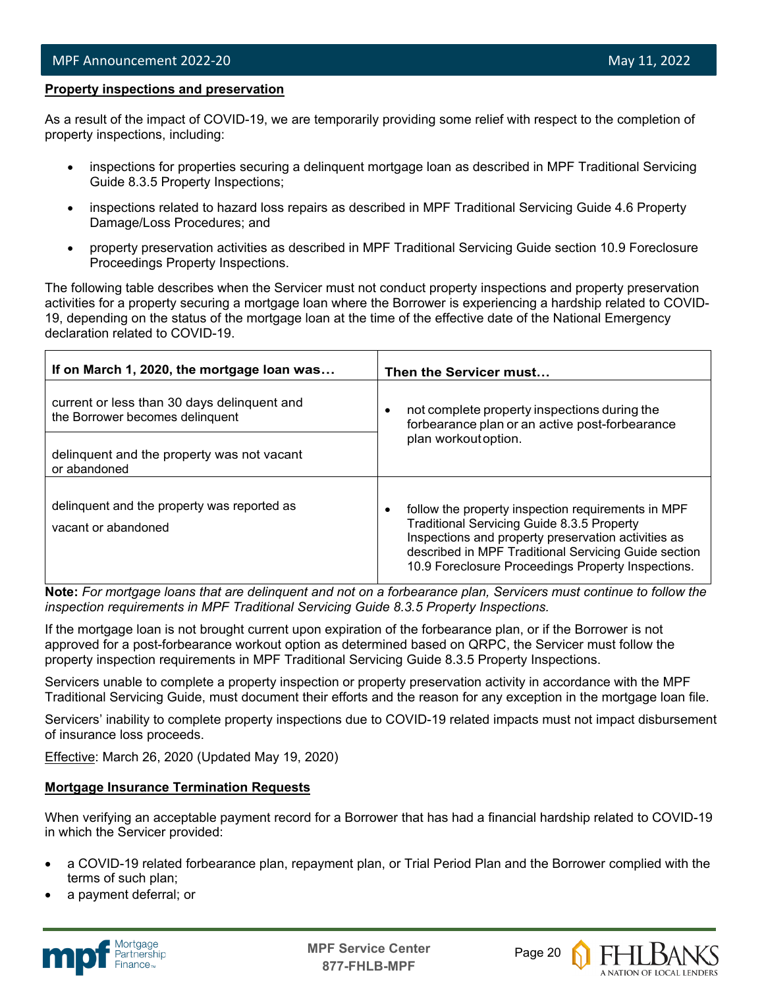#### **Property inspections and preservation**

As a result of the impact of COVID-19, we are temporarily providing some relief with respect to the completion of property inspections, including:

- inspections for properties securing a delinquent mortgage loan as described in MPF Traditional Servicing Guide 8.3.5 Property Inspections;
- inspections related to hazard loss repairs as described in MPF Traditional Servicing Guide 4.6 Property Damage/Loss Procedures; and
- property preservation activities as described in MPF Traditional Servicing Guide section 10.9 Foreclosure Proceedings Property Inspections.

The following table describes when the Servicer must not conduct property inspections and property preservation activities for a property securing a mortgage loan where the Borrower is experiencing a hardship related to COVID-19, depending on the status of the mortgage loan at the time of the effective date of the National Emergency declaration related to COVID-19.

| If on March 1, 2020, the mortgage loan was                                     | Then the Servicer must                                                                                                                                                                                                                                                             |  |
|--------------------------------------------------------------------------------|------------------------------------------------------------------------------------------------------------------------------------------------------------------------------------------------------------------------------------------------------------------------------------|--|
| current or less than 30 days delinquent and<br>the Borrower becomes delinquent | not complete property inspections during the<br>$\bullet$<br>forbearance plan or an active post-forbearance                                                                                                                                                                        |  |
| delinquent and the property was not vacant<br>or abandoned                     | plan workout option.                                                                                                                                                                                                                                                               |  |
| delinquent and the property was reported as<br>vacant or abandoned             | follow the property inspection requirements in MPF<br>$\bullet$<br>Traditional Servicing Guide 8.3.5 Property<br>Inspections and property preservation activities as<br>described in MPF Traditional Servicing Guide section<br>10.9 Foreclosure Proceedings Property Inspections. |  |

**Note:** *For mortgage loans that are delinquent and not on a forbearance plan, Servicers must continue to follow the inspection requirements in MPF Traditional Servicing Guide 8.3.5 Property Inspections.*

If the mortgage loan is not brought current upon expiration of the forbearance plan, or if the Borrower is not approved for a post-forbearance workout option as determined based on QRPC, the Servicer must follow the property inspection requirements in MPF Traditional Servicing Guide 8.3.5 Property Inspections.

Servicers unable to complete a property inspection or property preservation activity in accordance with the MPF Traditional Servicing Guide, must document their efforts and the reason for any exception in the mortgage loan file.

Servicers' inability to complete property inspections due to COVID-19 related impacts must not impact disbursement of insurance loss proceeds.

Effective: March 26, 2020 (Updated May 19, 2020)

#### **Mortgage Insurance Termination Requests**

When verifying an acceptable payment record for a Borrower that has had a financial hardship related to COVID-19 in which the Servicer provided:

- a COVID-19 related forbearance plan, repayment plan, or Trial Period Plan and the Borrower complied with the terms of such plan;
- a payment deferral; or



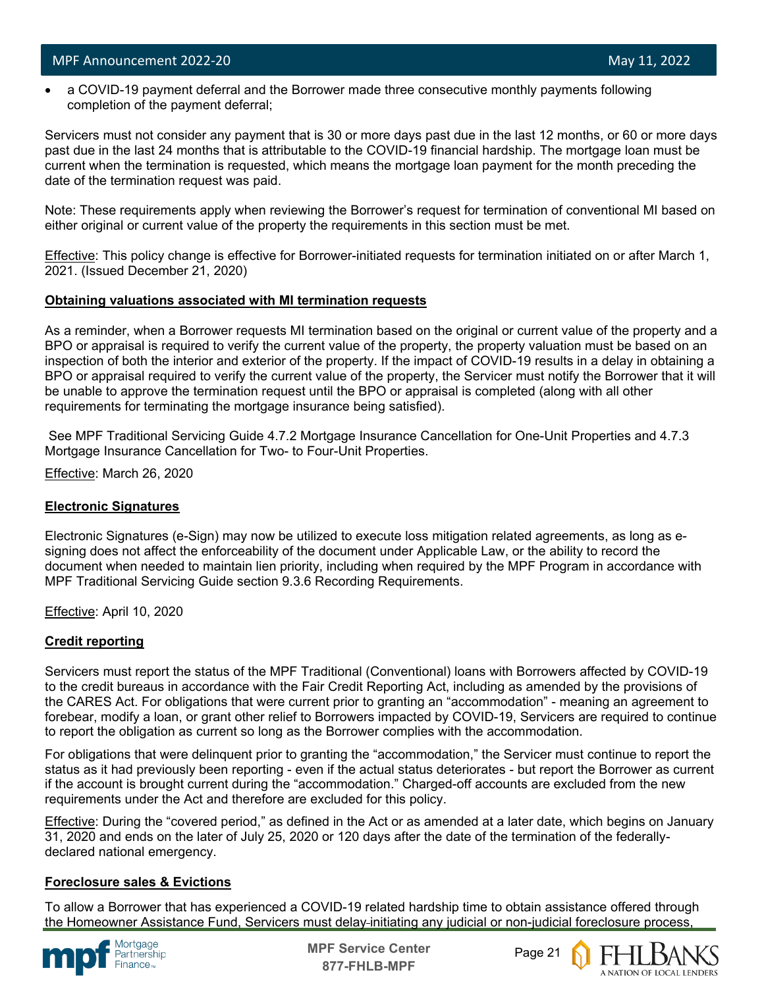• a COVID-19 payment deferral and the Borrower made three consecutive monthly payments following completion of the payment deferral;

Servicers must not consider any payment that is 30 or more days past due in the last 12 months, or 60 or more days past due in the last 24 months that is attributable to the COVID-19 financial hardship. The mortgage loan must be current when the termination is requested, which means the mortgage loan payment for the month preceding the date of the termination request was paid.

Note: These requirements apply when reviewing the Borrower's request for termination of conventional MI based on either original or current value of the property the requirements in this section must be met.

Effective: This policy change is effective for Borrower-initiated requests for termination initiated on or after March 1, 2021. (Issued December 21, 2020)

#### **Obtaining valuations associated with MI termination requests**

As a reminder, when a Borrower requests MI termination based on the original or current value of the property and a BPO or appraisal is required to verify the current value of the property, the property valuation must be based on an inspection of both the interior and exterior of the property. If the impact of COVID-19 results in a delay in obtaining a BPO or appraisal required to verify the current value of the property, the Servicer must notify the Borrower that it will be unable to approve the termination request until the BPO or appraisal is completed (along with all other requirements for terminating the mortgage insurance being satisfied).

See MPF Traditional Servicing Guide 4.7.2 Mortgage Insurance Cancellation for One-Unit Properties and 4.7.3 Mortgage Insurance Cancellation for Two- to Four-Unit Properties.

Effective: March 26, 2020

#### **Electronic Signatures**

Electronic Signatures (e-Sign) may now be utilized to execute loss mitigation related agreements, as long as esigning does not affect the enforceability of the document under Applicable Law, or the ability to record the document when needed to maintain lien priority, including when required by the MPF Program in accordance with MPF Traditional Servicing Guide section 9.3.6 Recording Requirements.

Effective: April 10, 2020

#### **Credit reporting**

Servicers must report the status of the MPF Traditional (Conventional) loans with Borrowers affected by COVID-19 to the credit bureaus in accordance with the Fair Credit Reporting Act, including as amended by the provisions of the CARES Act. For obligations that were current prior to granting an "accommodation" - meaning an agreement to forebear, modify a loan, or grant other relief to Borrowers impacted by COVID-19, Servicers are required to continue to report the obligation as current so long as the Borrower complies with the accommodation.

For obligations that were delinquent prior to granting the "accommodation," the Servicer must continue to report the status as it had previously been reporting - even if the actual status deteriorates - but report the Borrower as current if the account is brought current during the "accommodation." Charged-off accounts are excluded from the new requirements under the Act and therefore are excluded for this policy.

Effective: During the "covered period," as defined in the Act or as amended at a later date, which begins on January 31, 2020 and ends on the later of July 25, 2020 or 120 days after the date of the termination of the federallydeclared national emergency.

#### **Foreclosure sales & Evictions**

To allow a Borrower that has experienced a COVID-19 related hardship time to obtain assistance offered through the Homeowner Assistance Fund, Servicers must delay-initiating any judicial or non-judicial foreclosure process,



**MPF Service Center** Page 21 **877-FHLB-MPF**



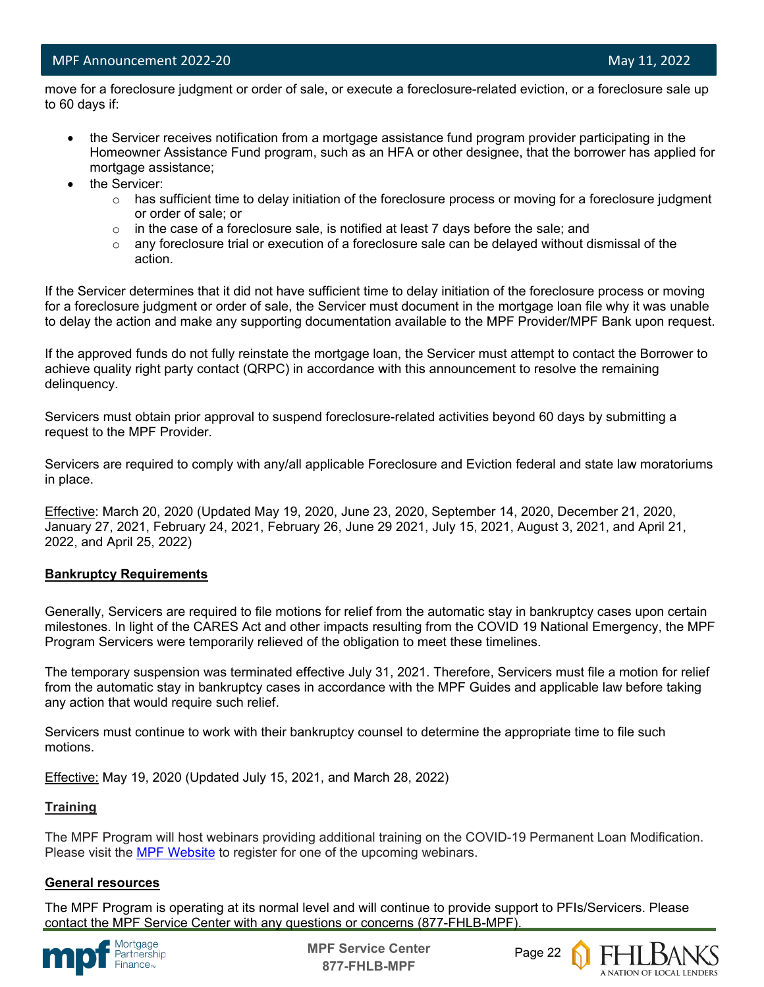move for a foreclosure judgment or order of sale, or execute a foreclosure-related eviction, or a foreclosure sale up to 60 days if:

- the Servicer receives notification from a mortgage assistance fund program provider participating in the Homeowner Assistance Fund program, such as an HFA or other designee, that the borrower has applied for mortgage assistance;
- the Servicer:

l

- $\circ$  has sufficient time to delay initiation of the foreclosure process or moving for a foreclosure judgment or order of sale; or
- $\circ$  in the case of a foreclosure sale, is notified at least 7 days before the sale; and
- $\circ$  any foreclosure trial or execution of a foreclosure sale can be delayed without dismissal of the action.

If the Servicer determines that it did not have sufficient time to delay initiation of the foreclosure process or moving for a foreclosure judgment or order of sale, the Servicer must document in the mortgage loan file why it was unable to delay the action and make any supporting documentation available to the MPF Provider/MPF Bank upon request.

If the approved funds do not fully reinstate the mortgage loan, the Servicer must attempt to contact the Borrower to achieve quality right party contact (QRPC) in accordance with this announcement to resolve the remaining delinquency.

Servicers must obtain prior approval to suspend foreclosure-related activities beyond 60 days by submitting a request to the MPF Provider.

Servicers are required to comply with any/all applicable Foreclosure and Eviction federal and state law moratoriums in place.

Effective: March 20, 2020 (Updated May 19, 2020, June 23, 2020, September 14, 2020, December 21, 2020, January 27, 2021, February 24, 2021, February 26, June 29 2021, July 15, 2021, August 3, 2021, and April 21, 2022, and April 25, 2022)

#### **Bankruptcy Requirements**

Generally, Servicers are required to file motions for relief from the automatic stay in bankruptcy cases upon certain milestones. In light of the CARES Act and other impacts resulting from the COVID 19 National Emergency, the MPF Program Servicers were temporarily relieved of the obligation to meet these timelines.

The temporary suspension was terminated effective July 31, 2021. Therefore, Servicers must file a motion for relief from the automatic stay in bankruptcy cases in accordance with the MPF Guides and applicable law before taking any action that would require such relief.

Servicers must continue to work with their bankruptcy counsel to determine the appropriate time to file such motions.

Effective: May 19, 2020 (Updated July 15, 2021, and March 28, 2022)

# **Training**

The MPF Program will host webinars providing additional training on the COVID-19 Permanent Loan Modification. Please visit the [MPF Website](https://www.fhlbmpf.com/education/upcoming-webinars) to register for one of the upcoming webinars.

#### **General resources**

The MPF Program is operating at its normal level and will continue to provide support to PFIs/Servicers. Please contact the MPF Service Center with any questions or concerns (877-FHLB-MPF).



**MPF Service Center** Page 22 **877-FHLB-MPF**



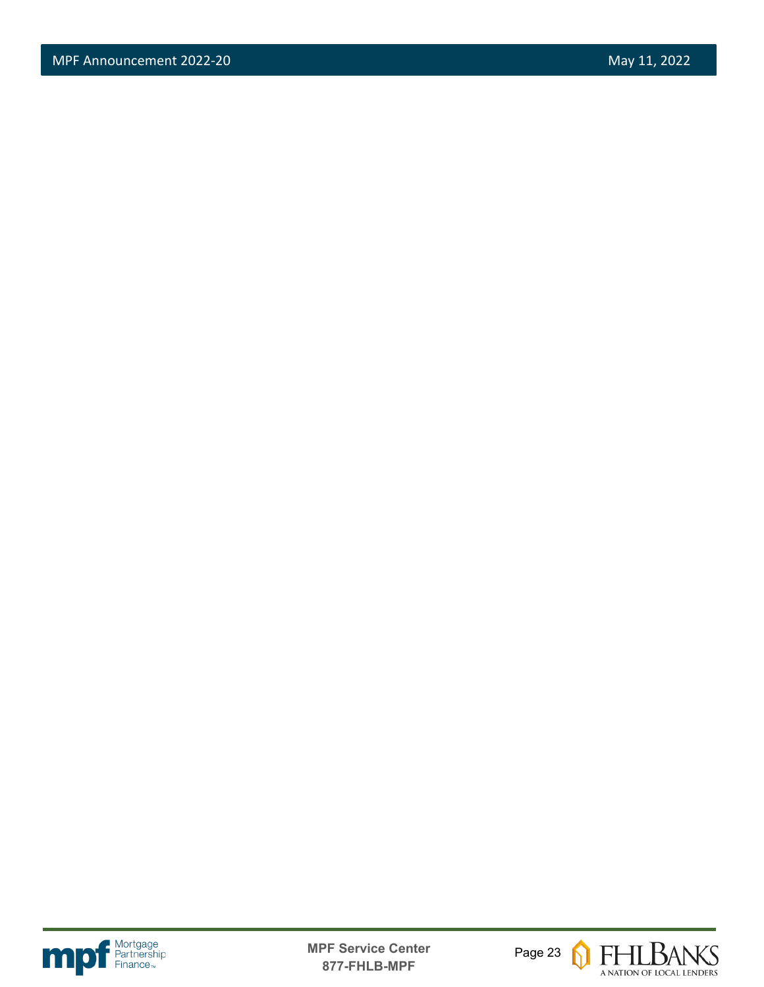



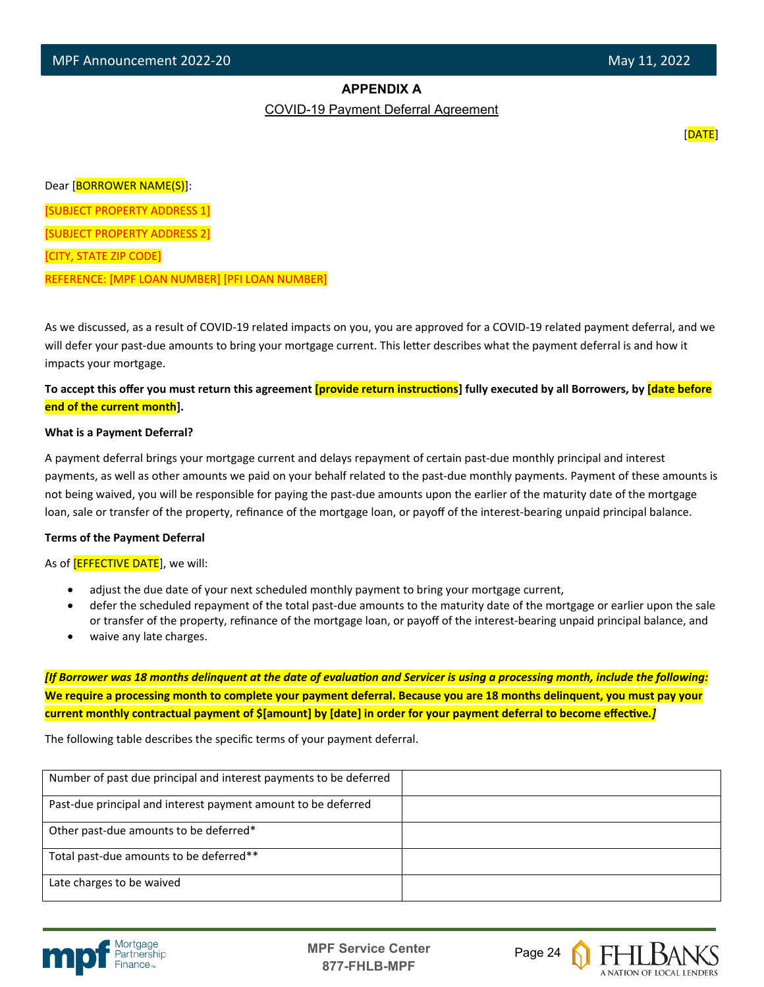#### **APPENDIX A**

COVID-19 Payment Deferral Agreement

[DATE]

Dear [BORROWER NAME(S)]:

[SUBJECT PROPERTY ADDRESS 1]

[SUBJECT PROPERTY ADDRESS 2]

[CITY, STATE ZIP CODE]

l

REFERENCE: [MPF LOAN NUMBER] [PFI LOAN NUMBER]

As we discussed, as a result of COVID-19 related impacts on you, you are approved for a COVID-19 related payment deferral, and we will defer your past-due amounts to bring your mortgage current. This letter describes what the payment deferral is and how it impacts your mortgage.

To accept this offer you must return this agreement **[provide return instructions**] fully executed by all Borrowers, by *date before* **end of the current month].**

#### **What is a Payment Deferral?**

A payment deferral brings your mortgage current and delays repayment of certain past-due monthly principal and interest payments, as well as other amounts we paid on your behalf related to the past-due monthly payments. Payment of these amounts is not being waived, you will be responsible for paying the past-due amounts upon the earlier of the maturity date of the mortgage loan, sale or transfer of the property, refinance of the mortgage loan, or payoff of the interest-bearing unpaid principal balance.

#### **Terms of the Payment Deferral**

As of **[EFFECTIVE DATE**], we will:

- adjust the due date of your next scheduled monthly payment to bring your mortgage current,
- defer the scheduled repayment of the total past-due amounts to the maturity date of the mortgage or earlier upon the sale or transfer of the property, refinance of the mortgage loan, or payoff of the interest-bearing unpaid principal balance, and
- waive any late charges.

*[If Borrower was 18 months delinquent at the date of evaluation and Servicer is using a processing month, include the following:* **We require a processing month to complete your payment deferral. Because you are 18 months delinquent, you must pay your**  current monthly contractual payment of \$[amount] by [date] in order for your payment deferral to become effective.*]* 

The following table describes the specific terms of your payment deferral.

| Number of past due principal and interest payments to be deferred |  |
|-------------------------------------------------------------------|--|
| Past-due principal and interest payment amount to be deferred     |  |
| Other past-due amounts to be deferred*                            |  |
| Total past-due amounts to be deferred**                           |  |
| Late charges to be waived                                         |  |



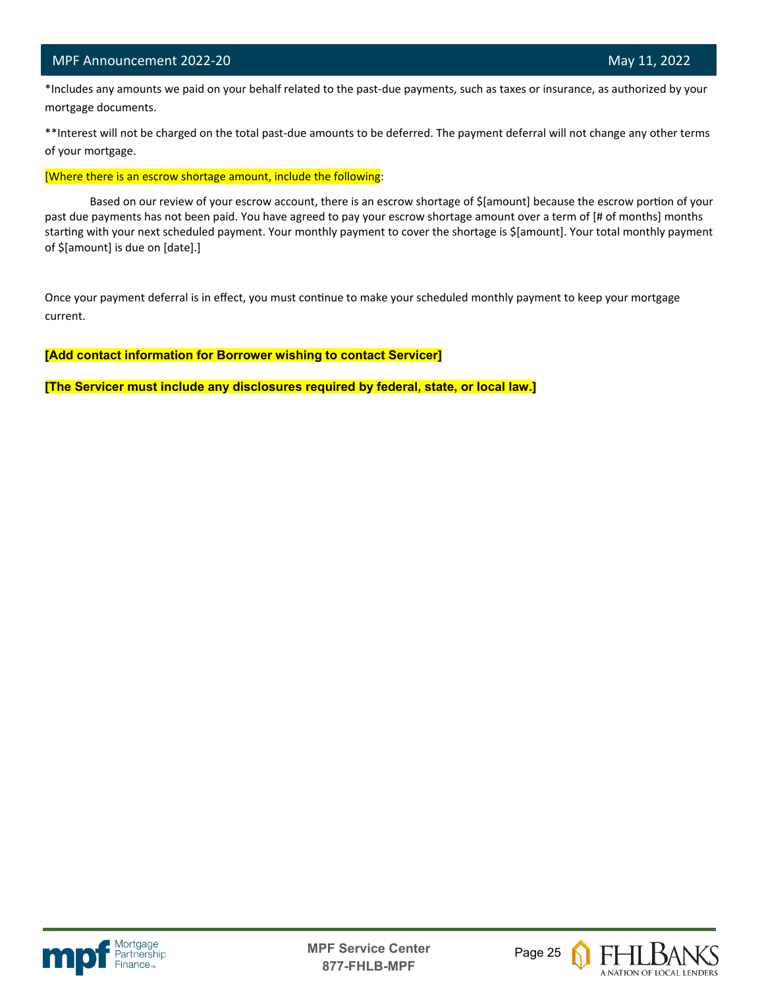# MPF Announcement 2022-20 May 11, 2022

l

 \*Includes any amounts we paid on your behalf related to the past-due payments, such as taxes or insurance, as authorized by your mortgage documents.

\*\*Interest will not be charged on the total past-due amounts to be deferred. The payment deferral will not change any other terms of your mortgage.

[Where there is an escrow shortage amount, include the following:

Based on our review of your escrow account, there is an escrow shortage of \$[amount] because the escrow portion of your past due payments has not been paid. You have agreed to pay your escrow shortage amount over a term of [# of months] months starting with your next scheduled payment. Your monthly payment to cover the shortage is \$[amount]. Your total monthly payment of \$[amount] is due on [date].]

Once your payment deferral is in effect, you must continue to make your scheduled monthly payment to keep your mortgage current.

**[Add contact information for Borrower wishing to contact Servicer]**

**[The Servicer must include any disclosures required by federal, state, or local law.]**





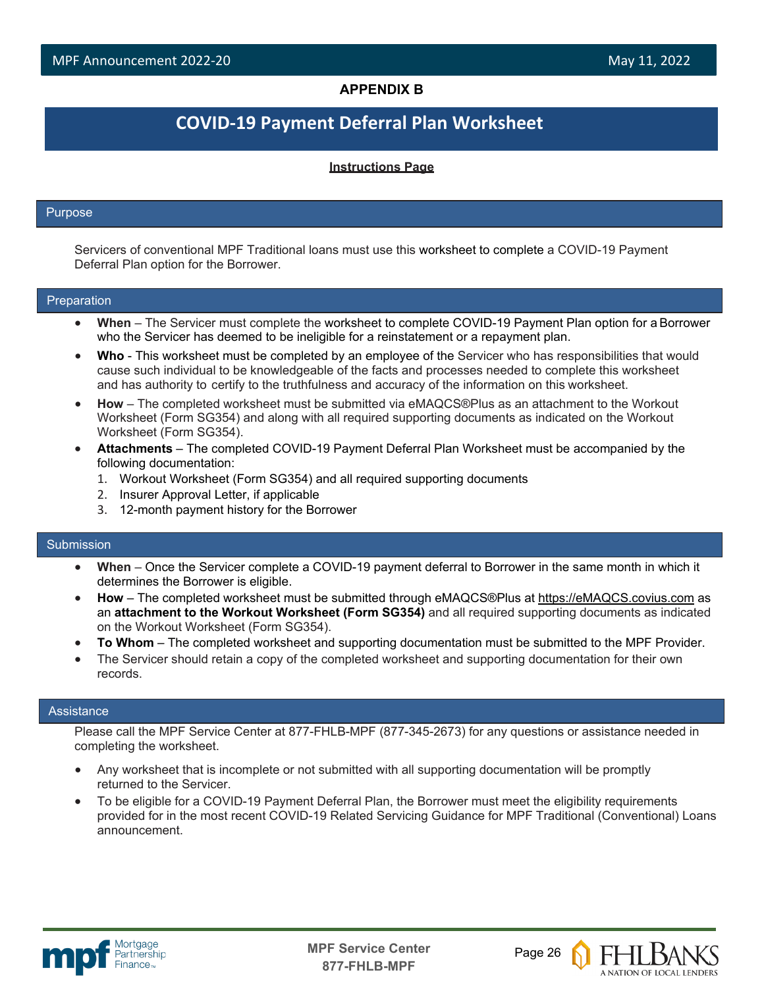# **APPENDIX B**

# **COVID-19 Payment Deferral Plan Worksheet**

#### **Instructions Page**

#### Purpose

l

Servicers of conventional MPF Traditional loans must use this worksheet to complete a COVID-19 Payment Deferral Plan option for the Borrower.

#### Preparation

- **When**  The Servicer must complete the worksheet to complete COVID-19 Payment Plan option for a Borrower who the Servicer has deemed to be ineligible for a reinstatement or a repayment plan.
- **Who**  This worksheet must be completed by an employee of the Servicer who has responsibilities that would cause such individual to be knowledgeable of the facts and processes needed to complete this worksheet and has authority to certify to the truthfulness and accuracy of the information on this worksheet.
- **How**  The completed worksheet must be submitted via eMAQCS®Plus as an attachment to the Workout Worksheet (Form SG354) and along with all required supporting documents as indicated on the Workout Worksheet (Form SG354).
- **Attachments**  The completed COVID-19 Payment Deferral Plan Worksheet must be accompanied by the following documentation:
	- 1. Workout Worksheet (Form SG354) and all required supporting documents
	- 2. Insurer Approval Letter, if applicable
	- 3. 12-month payment history for the Borrower

#### Submission

- **When**  Once the Servicer complete a COVID-19 payment deferral to Borrower in the same month in which it determines the Borrower is eligible.
- **How**  The completed worksheet must be submitted through eMAQCS®Plus at [https://eMAQCS.covius.com](https://emaqcs.covius.com/) as an **attachment to the Workout Worksheet (Form SG354)** and all required supporting documents as indicated on the Workout Worksheet (Form SG354).
- **To Whom**  The completed worksheet and supporting documentation must be submitted to the MPF Provider.
- The Servicer should retain a copy of the completed worksheet and supporting documentation for their own records.

#### **Assistance**

Please call the MPF Service Center at 877-FHLB-MPF (877-345-2673) for any questions or assistance needed in completing the worksheet.

- Any worksheet that is incomplete or not submitted with all supporting documentation will be promptly returned to the Servicer.
- To be eligible for a COVID-19 Payment Deferral Plan, the Borrower must meet the eligibility requirements provided for in the most recent COVID-19 Related Servicing Guidance for MPF Traditional (Conventional) Loans announcement.



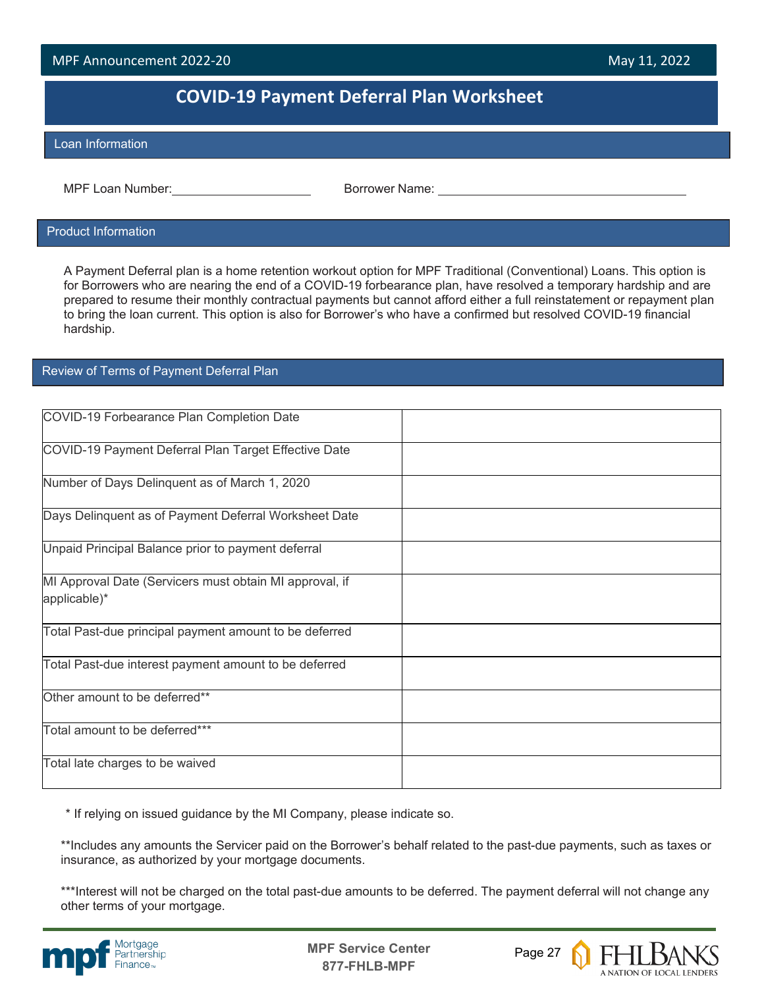# MPF Announcement 2022-20 May 11, 2022 I

# **COVID-19 Payment Deferral Plan Worksheet**

#### Loan Information

l

MPF Loan Number: Borrower Name:

#### Product Information

A Payment Deferral plan is a home retention workout option for MPF Traditional (Conventional) Loans. This option is for Borrowers who are nearing the end of a COVID-19 forbearance plan, have resolved a temporary hardship and are prepared to resume their monthly contractual payments but cannot afford either a full reinstatement or repayment plan to bring the loan current. This option is also for Borrower's who have a confirmed but resolved COVID-19 financial hardship.

#### Review of Terms of Payment Deferral Plan

| COVID-19 Forbearance Plan Completion Date               |  |
|---------------------------------------------------------|--|
| COVID-19 Payment Deferral Plan Target Effective Date    |  |
| Number of Days Delinquent as of March 1, 2020           |  |
| Days Delinquent as of Payment Deferral Worksheet Date   |  |
| Unpaid Principal Balance prior to payment deferral      |  |
| MI Approval Date (Servicers must obtain MI approval, if |  |
| applicable)*                                            |  |
| Total Past-due principal payment amount to be deferred  |  |
| Total Past-due interest payment amount to be deferred   |  |
| Other amount to be deferred**                           |  |
| Total amount to be deferred***                          |  |
| Total late charges to be waived                         |  |

\* If relying on issued guidance by the MI Company, please indicate so.

\*\*Includes any amounts the Servicer paid on the Borrower's behalf related to the past-due payments, such as taxes or insurance, as authorized by your mortgage documents.

\*\*\*Interest will not be charged on the total past-due amounts to be deferred. The payment deferral will not change any other terms of your mortgage.



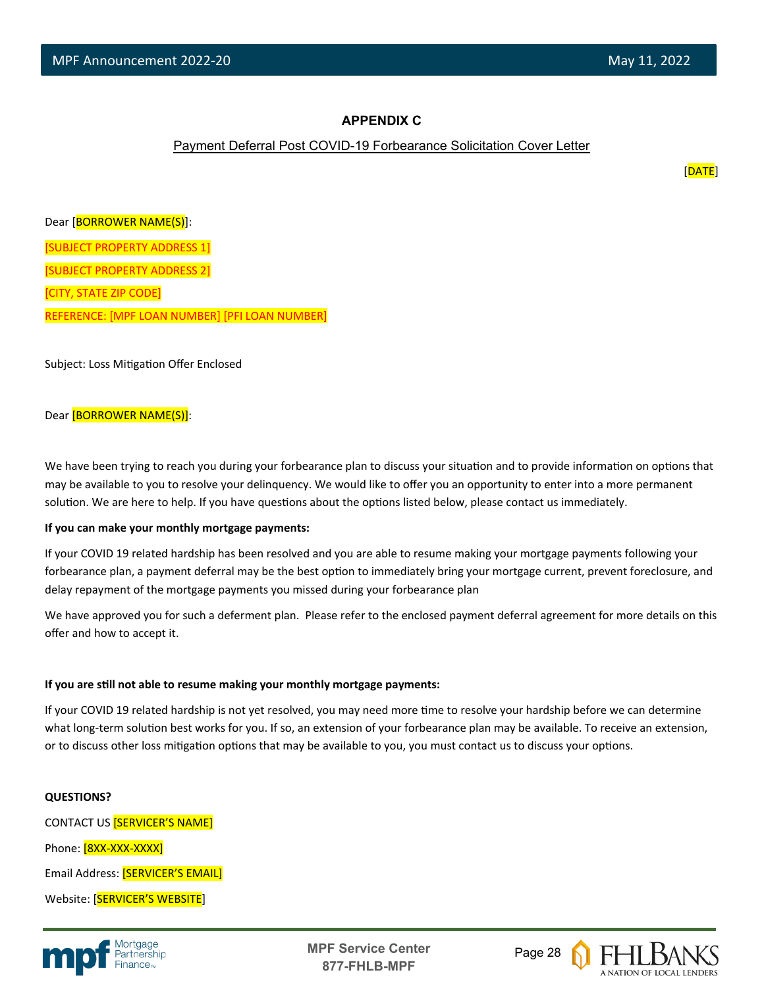#### **APPENDIX C**

#### Payment Deferral Post COVID-19 Forbearance Solicitation Cover Letter

[DATE]

Dear [BORROWER NAME(S)]: [SUBJECT PROPERTY ADDRESS 1] [SUBJECT PROPERTY ADDRESS 2] [CITY, STATE ZIP CODE] REFERENCE: [MPF LOAN NUMBER] [PFI LOAN NUMBER]

Subject: Loss Mitigation Offer Enclosed

#### Dear [BORROWER NAME(S)]:

We have been trying to reach you during your forbearance plan to discuss your situation and to provide information on options that may be available to you to resolve your delinquency. We would like to offer you an opportunity to enter into a more permanent solution. We are here to help. If you have questions about the options listed below, please contact us immediately.

#### **If you can make your monthly mortgage payments:**

If your COVID 19 related hardship has been resolved and you are able to resume making your mortgage payments following your forbearance plan, a payment deferral may be the best option to immediately bring your mortgage current, prevent foreclosure, and delay repayment of the mortgage payments you missed during your forbearance plan

We have approved you for such a deferment plan. Please refer to the enclosed payment deferral agreement for more details on this offer and how to accept it.

#### **If you are s�ll not able to resume making your monthly mortgage payments:**

If your COVID 19 related hardship is not yet resolved, you may need more time to resolve your hardship before we can determine what long-term solution best works for you. If so, an extension of your forbearance plan may be available. To receive an extension, or to discuss other loss mitigation options that may be available to you, you must contact us to discuss your options.

#### **QUESTIONS?**

CONTACT US [SERVICER'S NAME] Phone: [8XX-XXX-XXXX] Email Address: [SERVICER'S EMAIL] Website: [SERVICER'S WEBSITE]



**MPF Service Center** Page 28 **877-FHLB-MPF**

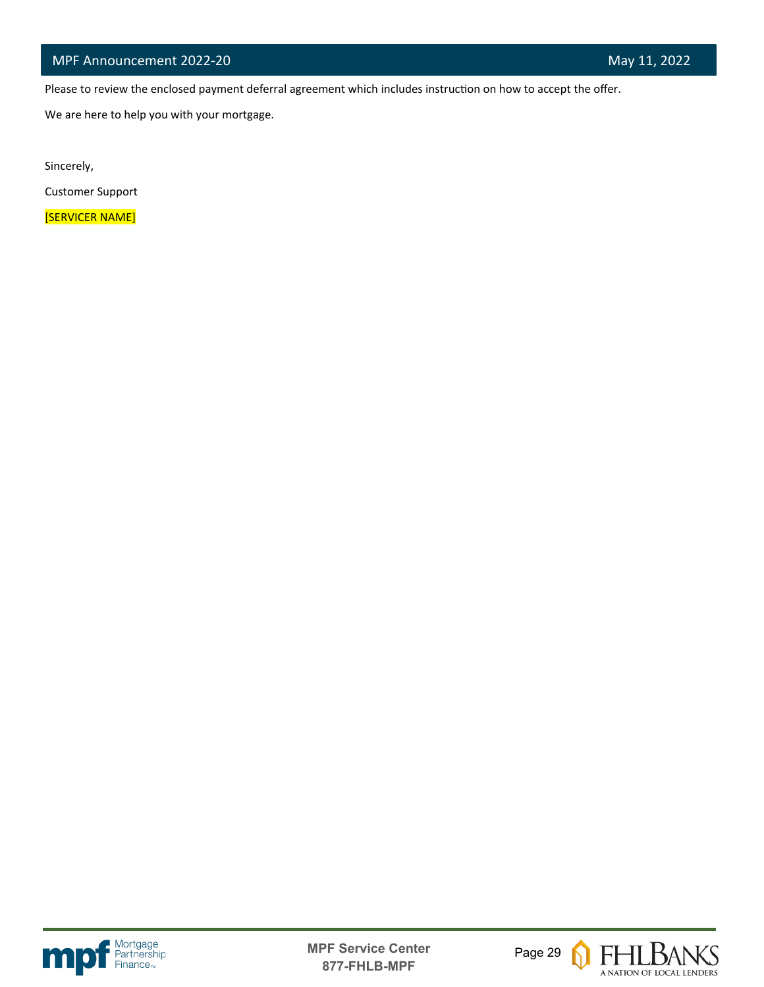# MPF Announcement 2022-20 **May 11, 2022**

Please to review the enclosed payment deferral agreement which includes instruction on how to accept the offer.

We are here to help you with your mortgage.

Sincerely,

l

Customer Support

[SERVICER NAME]





 $\Omega$ 

**FHLBANS** A NATION OF LOCAL LENDERS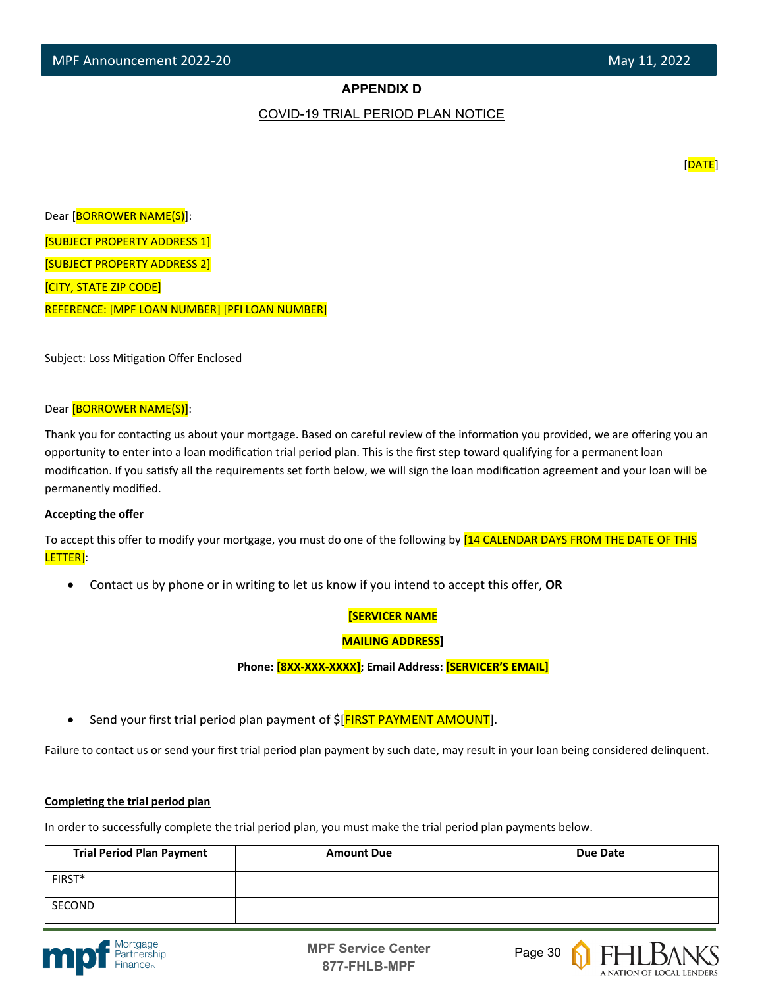# **APPENDIX D**

#### COVID-19 TRIAL PERIOD PLAN NOTICE

[DATE]

Dear [BORROWER NAME(S)]: [SUBJECT PROPERTY ADDRESS 1] [SUBJECT PROPERTY ADDRESS 2] [CITY, STATE ZIP CODE] REFERENCE: [MPF LOAN NUMBER] [PFI LOAN NUMBER]

Subject: Loss Mitigation Offer Enclosed

#### Dear [BORROWER NAME(S)]:

Thank you for contacting us about your mortgage. Based on careful review of the information you provided, we are offering you an opportunity to enter into a loan modification trial period plan. This is the first step toward qualifying for a permanent loan modification. If you satisfy all the requirements set forth below, we will sign the loan modification agreement and your loan will be permanently modified.

#### **Accepting the offer**

To accept this offer to modify your mortgage, you must do one of the following by [14 CALENDAR DAYS FROM THE DATE OF THIS LETTER]:

• Contact us by phone or in writing to let us know if you intend to accept this offer, **OR**

#### **[SERVICER NAME**

#### **MAILING ADDRESS]**

**Phone: [8XX-XXX-XXXX]; Email Address: [SERVICER'S EMAIL]**

Send your first trial period plan payment of  $\frac{1}{2}$  FIRST PAYMENT AMOUNT].

Failure to contact us or send your first trial period plan payment by such date, may result in your loan being considered delinquent.

#### **Completing the trial period plan**

In order to successfully complete the trial period plan, you must make the trial period plan payments below.

| <b>Trial Period Plan Payment</b> | <b>Amount Due</b> | Due Date |
|----------------------------------|-------------------|----------|
| FIRST*                           |                   |          |
| SECOND                           |                   |          |



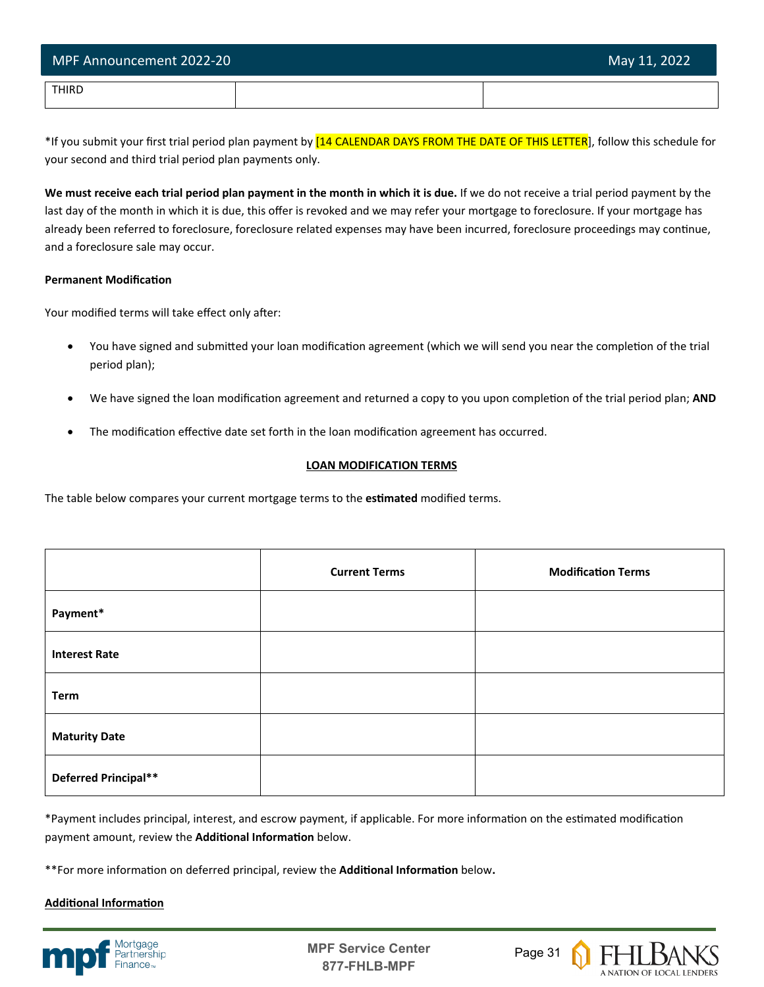| MPF Announcement 2022-20 | May 11, 2022 |
|--------------------------|--------------|
| <b>THIRD</b>             |              |

\*If you submit your first trial period plan payment by [14 CALENDAR DAYS FROM THE DATE OF THIS LETTER], follow this schedule for your second and third trial period plan payments only.

**We must receive each trial period plan payment in the month in which it is due.** If we do not receive a trial period payment by the last day of the month in which it is due, this offer is revoked and we may refer your mortgage to foreclosure. If your mortgage has already been referred to foreclosure, foreclosure related expenses may have been incurred, foreclosure proceedings may continue, and a foreclosure sale may occur.

#### **Permanent Modification**

Your modified terms will take effect only after:

- You have signed and submitted your loan modification agreement (which we will send you near the completion of the trial period plan);
- We have signed the loan modification agreement and returned a copy to you upon completion of the trial period plan; AND
- The modification effective date set forth in the loan modification agreement has occurred.

#### **LOAN MODIFICATION TERMS**

The table below compares your current mortgage terms to the **es�mated** modified terms.

|                      | <b>Current Terms</b> | <b>Modification Terms</b> |
|----------------------|----------------------|---------------------------|
| Payment*             |                      |                           |
| <b>Interest Rate</b> |                      |                           |
| Term                 |                      |                           |
| <b>Maturity Date</b> |                      |                           |
| Deferred Principal** |                      |                           |

\*Payment includes principal, interest, and escrow payment, if applicable. For more information on the estimated modification payment amount, review the **Additional Information** below.

\*\*For more information on deferred principal, review the **Additional Information** below.

#### **Additional Information**



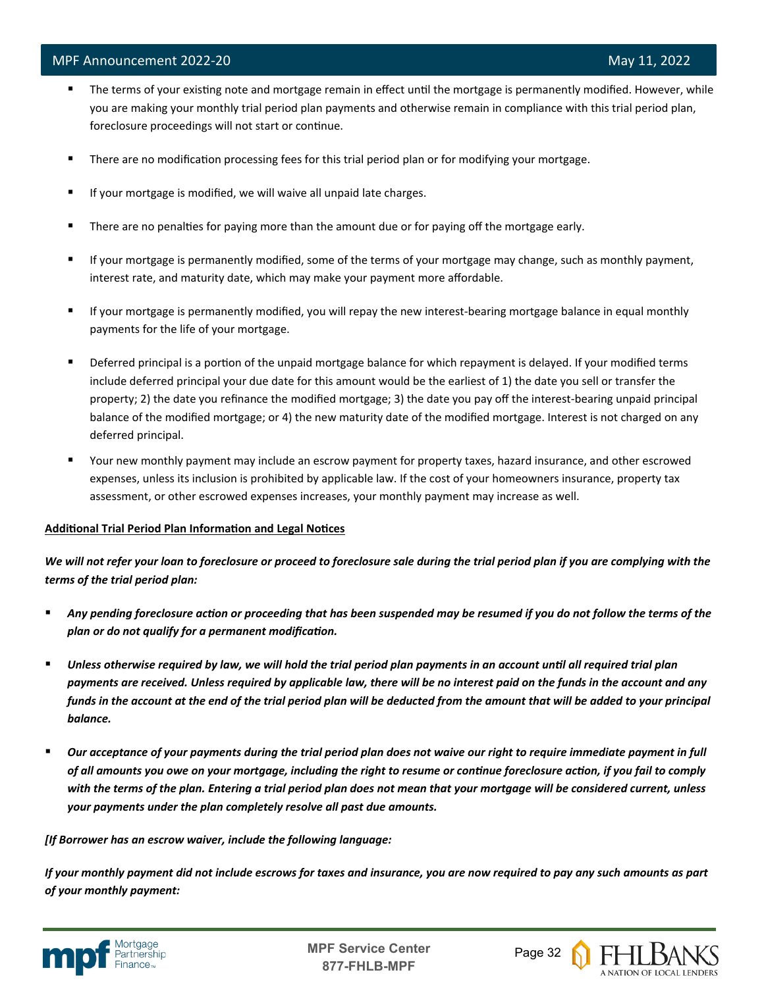- The terms of your existing note and mortgage remain in effect until the mortgage is permanently modified. However, while you are making your monthly trial period plan payments and otherwise remain in compliance with this trial period plan, foreclosure proceedings will not start or continue.
- **There are no modification processing fees for this trial period plan or for modifying your mortgage.**
- If your mortgage is modified, we will waive all unpaid late charges.
- **There are no penalties for paying more than the amount due or for paying off the mortgage early.**
- If your mortgage is permanently modified, some of the terms of your mortgage may change, such as monthly payment, interest rate, and maturity date, which may make your payment more affordable.
- If your mortgage is permanently modified, you will repay the new interest-bearing mortgage balance in equal monthly payments for the life of your mortgage.
- Deferred principal is a portion of the unpaid mortgage balance for which repayment is delayed. If your modified terms include deferred principal your due date for this amount would be the earliest of 1) the date you sell or transfer the property; 2) the date you refinance the modified mortgage; 3) the date you pay off the interest-bearing unpaid principal balance of the modified mortgage; or 4) the new maturity date of the modified mortgage. Interest is not charged on any deferred principal.
- Your new monthly payment may include an escrow payment for property taxes, hazard insurance, and other escrowed expenses, unless its inclusion is prohibited by applicable law. If the cost of your homeowners insurance, property tax assessment, or other escrowed expenses increases, your monthly payment may increase as well.

#### Additional Trial Period Plan Information and Legal Notices

*We will not refer your loan to foreclosure or proceed to foreclosure sale during the trial period plan if you are complying with the terms of the trial period plan:*

- *Any pending foreclosure action or proceeding that has been suspended may be resumed if you do not follow the terms of the plan or do not qualify for a permanent modification.*
- *Unless otherwise required by law, we will hold the trial period plan payments in an account until all required trial plan payments are received. Unless required by applicable law, there will be no interest paid on the funds in the account and any funds in the account at the end of the trial period plan will be deducted from the amount that will be added to your principal balance.*
- *Our acceptance of your payments during the trial period plan does not waive our right to require immediate payment in full of all amounts you owe on your mortgage, including the right to resume or continue foreclosure action, if you fail to comply with the terms of the plan. Entering a trial period plan does not mean that your mortgage will be considered current, unless your payments under the plan completely resolve all past due amounts.*

#### *[If Borrower has an escrow waiver, include the following language:*

*If your monthly payment did not include escrows for taxes and insurance, you are now required to pay any such amounts as part of your monthly payment:*



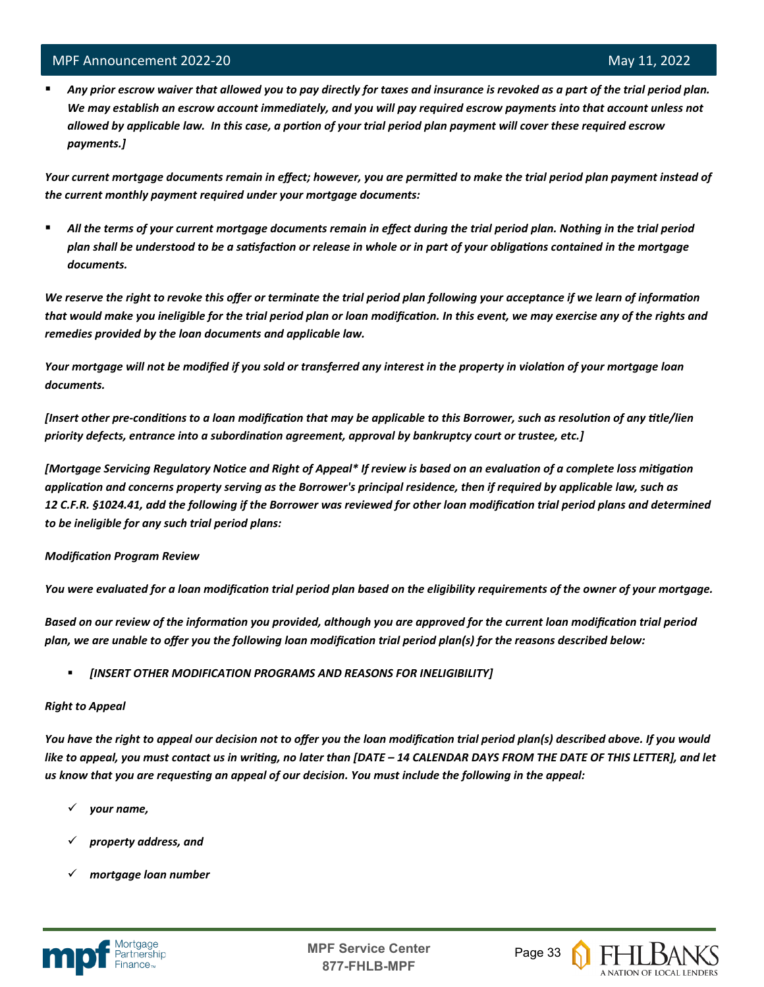l

 *Any prior escrow waiver that allowed you to pay directly for taxes and insurance is revoked as a part of the trial period plan. We may establish an escrow account immediately, and you will pay required escrow payments into that account unless not allowed by applicable law. In this case, a portion of your trial period plan payment will cover these required escrow payments.]*

*Your current mortgage documents remain in effect; however, you are permitted to make the trial period plan payment instead of the current monthly payment required under your mortgage documents:*

 *All the terms of your current mortgage documents remain in effect during the trial period plan. Nothing in the trial period plan shall be understood to be a satisfaction or release in whole or in part of your obligations contained in the mortgage documents.*

*We reserve the right to revoke this offer or terminate the trial period plan following your acceptance if we learn of information*  that would make you ineligible for the trial period plan or loan modification. In this event, we may exercise any of the rights and *remedies provided by the loan documents and applicable law.* 

*Your mortgage will not be modified if you sold or transferred any interest in the property in violation of your mortgage loan documents.* 

*[Insert other pre-conditions to a loan modification that may be applicable to this Borrower, such as resolution of any title/lien priority defects, entrance into a subordination agreement, approval by bankruptcy court or trustee, etc.]* 

*[Mortgage Servicing Regulatory Notice and Right of Appeal\* If review is based on an evaluation of a complete loss mitigation application and concerns property serving as the Borrower's principal residence, then if required by applicable law, such as 12 C.F.R. §1024.41, add the following if the Borrower was reviewed for other loan modification trial period plans and determined to be ineligible for any such trial period plans:*

#### *Modification Program Review*

*You were evaluated for a loan modification trial period plan based on the eligibility requirements of the owner of your mortgage.* 

*Based on our review of the information you provided, although you are approved for the current loan modification trial period plan, we are unable to offer you the following loan modification trial period plan(s) for the reasons described below:*

*[INSERT OTHER MODIFICATION PROGRAMS AND REASONS FOR INELIGIBILITY]*

#### *Right to Appeal*

*You have the right to appeal our decision not to offer you the loan modification trial period plan(s) described above. If you would like to appeal, you must contact us in writing, no later than [DATE – 14 CALENDAR DAYS FROM THE DATE OF THIS LETTER], and let us know that you are requesting an appeal of our decision. You must include the following in the appeal:* 

- *your name,*
- *property address, and*
- *mortgage loan number*



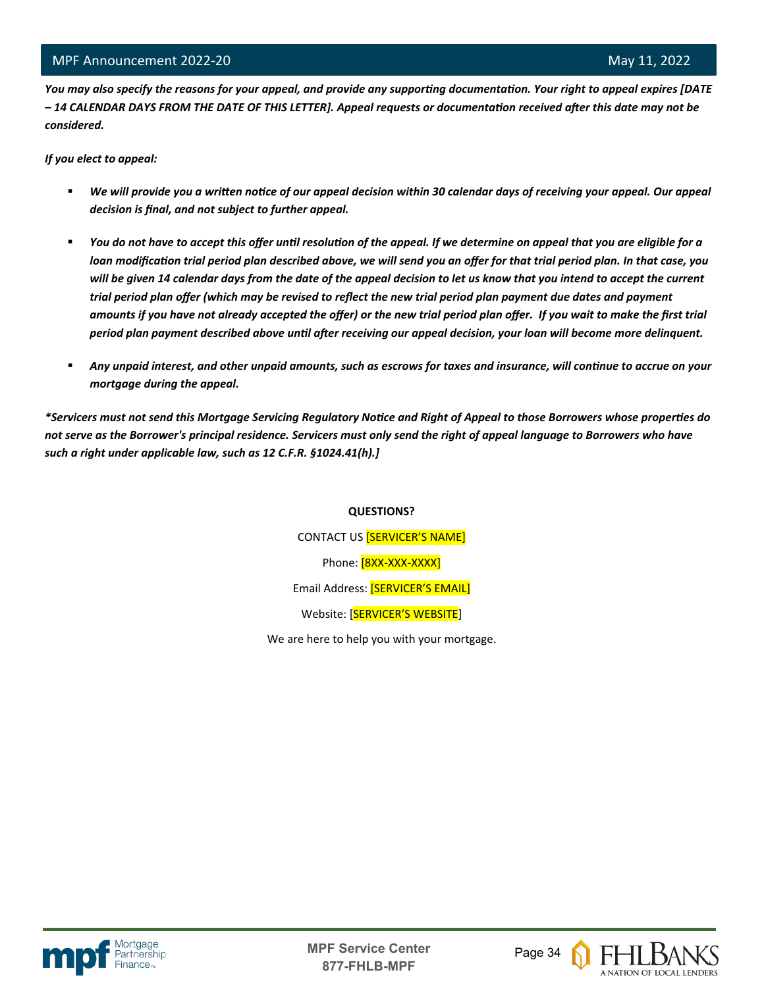*You may also specify the reasons for your appeal, and provide any supporting documentation. Your right to appeal expires [DATE – 14 CALENDAR DAYS FROM THE DATE OF THIS LETTER]. Appeal requests or documentation received after this date may not be considered.* 

*If you elect to appeal:*

l

- *We will provide you a written notice of our appeal decision within 30 calendar days of receiving your appeal. Our appeal decision is final, and not subject to further appeal.*
- *You do not have to accept this offer until resolution of the appeal. If we determine on appeal that you are eligible for a loan modification trial period plan described above, we will send you an offer for that trial period plan. In that case, you will be given 14 calendar days from the date of the appeal decision to let us know that you intend to accept the current trial period plan offer (which may be revised to reflect the new trial period plan payment due dates and payment amounts if you have not already accepted the offer) or the new trial period plan offer. If you wait to make the first trial period plan payment described above until after receiving our appeal decision, your loan will become more delinquent.*
- *Any unpaid interest, and other unpaid amounts, such as escrows for taxes and insurance, will continue to accrue on your mortgage during the appeal.*

*\*Servicers must not send this Mortgage Servicing Regulatory Notice and Right of Appeal to those Borrowers whose properties do not serve as the Borrower's principal residence. Servicers must only send the right of appeal language to Borrowers who have such a right under applicable law, such as 12 C.F.R. §1024.41(h).]*

#### **QUESTIONS?**

CONTACT US [SERVICER'S NAME] Phone: [8XX-XXX-XXXX] Email Address: [SERVICER'S EMAIL] Website: [SERVICER'S WEBSITE]

We are here to help you with your mortgage.





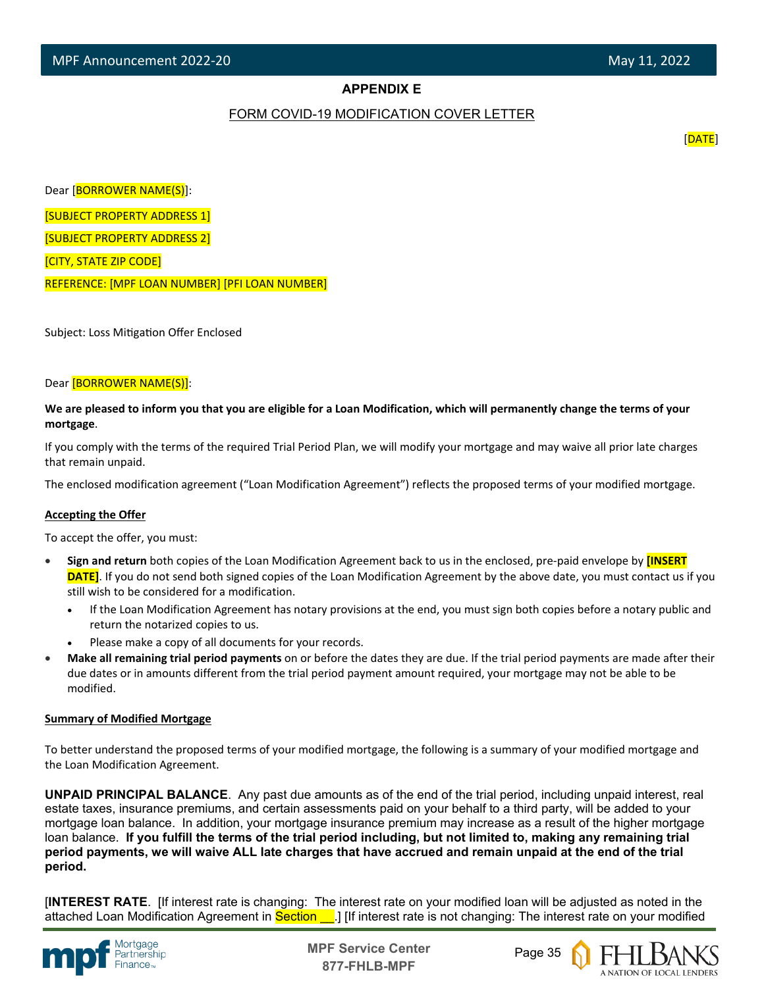# **APPENDIX E**

#### FORM COVID-19 MODIFICATION COVER LETTER

[DATE]

Dear [BORROWER NAME(S)]:

[SUBJECT PROPERTY ADDRESS 1]

[SUBJECT PROPERTY ADDRESS 2]

[CITY, STATE ZIP CODE]

l

REFERENCE: [MPF LOAN NUMBER] [PFI LOAN NUMBER]

Subject: Loss Mitigation Offer Enclosed

#### Dear [BORROWER NAME(S)]:

**We are pleased to inform you that you are eligible for a Loan Modification, which will permanently change the terms of your mortgage**.

If you comply with the terms of the required Trial Period Plan, we will modify your mortgage and may waive all prior late charges that remain unpaid.

The enclosed modification agreement ("Loan Modification Agreement") reflects the proposed terms of your modified mortgage.

#### **Accepting the Offer**

To accept the offer, you must:

- **Sign and return** both copies of the Loan Modification Agreement back to us in the enclosed, pre-paid envelope by **[INSERT DATE]**. If you do not send both signed copies of the Loan Modification Agreement by the above date, you must contact us if you still wish to be considered for a modification.
	- If the Loan Modification Agreement has notary provisions at the end, you must sign both copies before a notary public and return the notarized copies to us.
	- Please make a copy of all documents for your records.
- **Make all remaining trial period payments** on or before the dates they are due. If the trial period payments are made after their due dates or in amounts different from the trial period payment amount required, your mortgage may not be able to be modified.

#### **Summary of Modified Mortgage**

To better understand the proposed terms of your modified mortgage, the following is a summary of your modified mortgage and the Loan Modification Agreement.

**UNPAID PRINCIPAL BALANCE**. Any past due amounts as of the end of the trial period, including unpaid interest, real estate taxes, insurance premiums, and certain assessments paid on your behalf to a third party, will be added to your mortgage loan balance. In addition, your mortgage insurance premium may increase as a result of the higher mortgage loan balance. **If you fulfill the terms of the trial period including, but not limited to, making any remaining trial period payments, we will waive ALL late charges that have accrued and remain unpaid at the end of the trial period.**

[**INTEREST RATE**. [If interest rate is changing: The interest rate on your modified loan will be adjusted as noted in the attached Loan Modification Agreement in Section . If interest rate is not changing: The interest rate on your modified